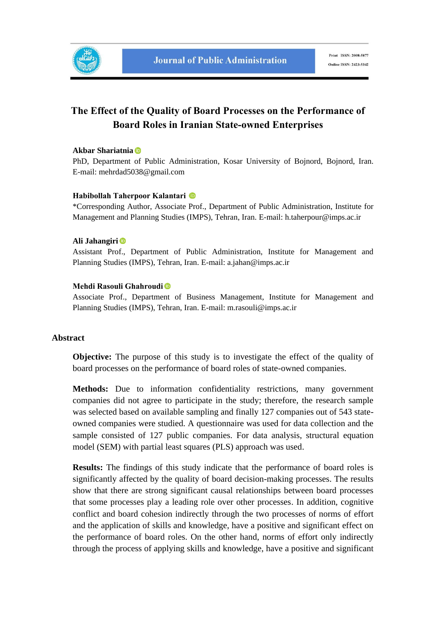

# **The Effect of the Quality of Board Processes on the Performance of Board Roles in Iranian State-owned Enterprises**

#### **Akbar Shariatnia**

PhD, Department of Public Administration, Kosar University of Bojnord, Bojnord, Iran. E-mail: mehrdad5038@gmail.com

#### **Habibollah Taherpoor Kalantari**

\*Corresponding Author, Associate Prof., Department of Public Administration, Institute for Management and Planning Studies (IMPS), Tehran, Iran. E-mail: h.taherpour@imps.ac.ir

#### **Ali Jahangiri**

Assistant Prof., Department of Public Administration, Institute for Management and Planning Studies (IMPS), Tehran, Iran. E-mail: a.jahan@imps.ac.ir

### **Mehdi Rasouli Ghahroudi**

Associate Prof., Department of Business Management, Institute for Management and Planning Studies (IMPS), Tehran, Iran. E-mail: m.rasouli@imps.ac.ir

#### **Abstract**

**Objective:** The purpose of this study is to investigate the effect of the quality of board processes on the performance of board roles of state-owned companies.

**Methods:** Due to information confidentiality restrictions, many government companies did not agree to participate in the study; therefore, the research sample was selected based on available sampling and finally 127 companies out of 543 stateowned companies were studied. A questionnaire was used for data collection and the sample consisted of 127 public companies. For data analysis, structural equation model (SEM) with partial least squares (PLS) approach was used.

**Results:** The findings of this study indicate that the performance of board roles is significantly affected by the quality of board decision-making processes. The results show that there are strong significant causal relationships between board processes that some processes play a leading role over other processes. In addition, cognitive conflict and board cohesion indirectly through the two processes of norms of effort and the application of skills and knowledge, have a positive and significant effect on the performance of board roles. On the other hand, norms of effort only indirectly through the process of applying skills and knowledge, have a positive and significant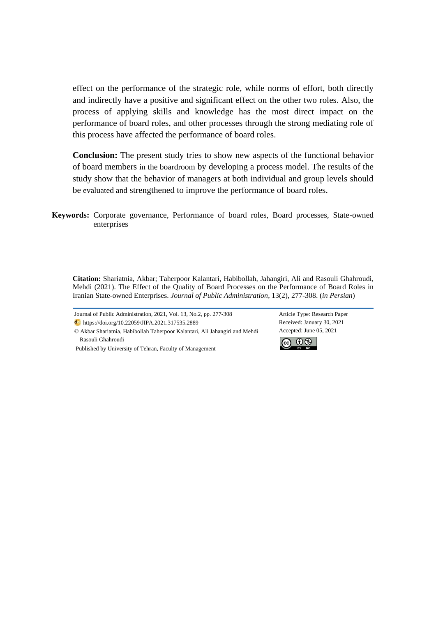effect on the performance of the strategic role, while norms of effort, both directly and indirectly have a positive and significant effect on the other two roles. Also, the process of applying skills and knowledge has the most direct impact on the performance of board roles, and other processes through the strong mediating role of this process have affected the performance of board roles.

**Conclusion:** The present study tries to show new aspects of the functional behavior of board members in the boardroom by developing a process model. The results of the study show that the behavior of managers at both individual and group levels should be evaluated and strengthened to improve the performance of board roles.

**Keywords:** Corporate governance, Performance of board roles, Board processes, State-owned enterprises

**Citation:** Shariatnia, Akbar; Taherpoor Kalantari, Habibollah, Jahangiri, Ali and Rasouli Ghahroudi, Mehdi (2021). The Effect of the Quality of Board Processes on the Performance of Board Roles in Iranian State-owned Enterprises. *Journal of Public Administration*, 13(2), 277-308. (*in Persian*)

Journal of Public Administration, 2021, Vol. 13, No.2, pp. 277-308 Article Type: Research Paper https://doi.org/10.22059/JIPA.2021.317535.2889 Received: January 30, 2021

© Akbar Shariatnia, Habibollah Taherpoor Kalantari, Ali Jahangiri and Mehdi Rasouli Ghahroudi

Accepted: June 05, 2021



Published by University of Tehran, Faculty of Management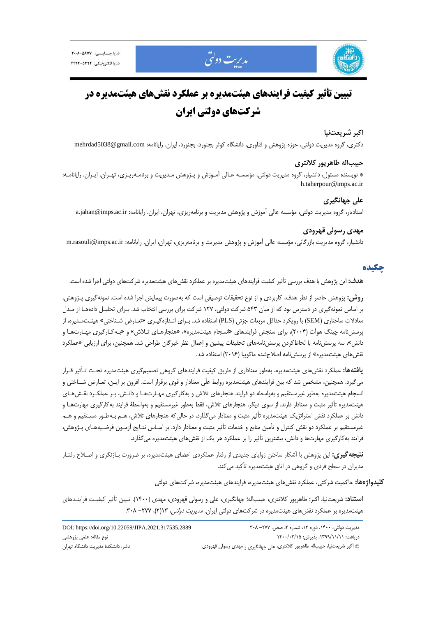

مديريت دولتي

#### **اكبر شريعتنيا**

دكتري، گروه مديريت دولتي، حوزه پژوهش و فناوري، دانشگاه كوثر بجنورد، بجنورد، ايران. رايانامه: mehrdad5038@gmail.com

### **حبيباله طاهرپور كلانتري**

\* نويسنده مسئول، دانشيار، گروه مديريت دولتي، مؤسسـه عـالي آمـوزش و پـژوهش مـديريت و برنامـهريـزي، تهـران، ايـران. رايانامـه: h.taherpour@imps.ac.ir

#### **علي جهانگيري**

استاديار، گروه مديريت دولتي، مؤسسه عالي آموزش و پژوهش مديريت و برنامهريزي، تهران، ايران. رايانامه: ir.ac.imps@jahan.a

## **مهدي رسولي قهرودي**

دانشيار، گروه مديريت بازرگاني، مؤسسه عالي آموزش و پژوهش مديريت و برنامهريزي، تهران، ايران. رايانامه: m.rasouli@imps.ac.ir

### **چكيده**

**هدف:** اين پژوهش با هدف بررسي تأثير كيفيت فرايندهاي هيئتمديره بر عملكرد نقشهاي هيئتمديره شركتهاي دولتي اجرا شده است.

**روش:** پژوهش حاضر از نظر هدف، كاربردي و از نوع تحقيقات توصيفي است كه بهصورت پيمايش اجرا شده است. نمونهگيري پـژوهش، بر اساس نمونهگيري در دسترس بود كه از ميان 543 شركت دولتي، 127 شركت براي بررسي انتخاب شد. بـراي تحليـل دادههـا از مـدل معادلات ساختاري (SEM) با رويكرد حداقل مربعات جزئي (PLS) استفاده شد. بـراي انـدازهگيـري «تعـارض شـناختي» هيئـتمـديره، از پرسشنامه چينگ هوآت (2004)، براي سنجش فرايندهاي «انسجام هيئتمديره»، «هنجارهـاي تـلاش» و «بـهكـارگيري مهـارتهـا و دانش»، سه پرسشنامه با لحاظكردن پرسشنامههاي تحقيقات پيشين و اعمال نظر خبرگان طراحي شد. همچنين، براي ارزيابي «عملكرد نقشهاي هيئتمديره» از پرسشنامه اصلاحشده ماگوبيا (2016) استفاده شد.

**يافتهها:** عملكرد نقشهاي هيئتمديره، بهطور معناداري از طريق كيفيت فرايندهاي گروهي تصميمگيري هيئتمديره تحـت تـأثير قـرار ميگيرد. همچنين، مشخص شد كه بين فرايندهاي هيئتمديره روابط علّي معنادار و قوي برقرار است. افزون بر ايـن، تعـارض شـناختي و انسجام هيئتمديره بهطور غيرمستقيم و بهواسطه دو فرايند هنجارهاي تلاش و بهكارگيري مهـارتهـا و دانـش، بـر عملكـرد نقـشهـاي هيئتمديره تأثير مثبت و معنادار دارند. از سوي ديگر، هنجارهاي تلاش، فقط بهطور غيرمستقيم و بهواسطة فرايند بهكارگيري مهارتهـا و دانش بر عملكرد نقش استراتژيك هيئتمديره تأثير مثبت و معنادار ميگذارد، در حاليكه هنجارهاي تلاش، هـم بـهطـور مسـتقيم و هـم غيرمستقيم بر عملكرد دو نقش كنترل و تأمين منابع و خدمات تأثير مثبت و معنادار دارد. بر اسـاس نتـايج آزمـون فرضـيههـاي پـژوهش، فرايند بهكارگيري مهارتها و دانش، بيشترين تأثير را بر عملكرد هر يك از نقشهاي هيئتمديره ميگذارد.

**نتيجهگيري:** اين پژوهش با آشكار ساختن زواياي جديدي از رفتار عملكردي اعضاي هيئتمديره، بر ضرورت بـازنگري و اصـلاح رفتـار مديران در سطح فردي و گروهي در اتاق هيئتمديره تأكيد ميكند.

**كليدواژهها:** حاكميت شركتي، عملكرد نقشهاي هيئتمديره، فرايندهاي هيئتمديره، شركتهاي دولتي

**استناد:** شريعتنيا، اكبر؛ طاهرپور كلانتري، حبيباله؛ جهانگيري، علي و رسولي قهرودي، مهدي (1400). تبيين تأثير كيفيـت فراينـدهاي هيئتمديره بر عملكرد نقش هاي هيئتمديره در شركتهاي دولتي ايران. *مديريت دولتي،* ١٢(٢)، ٢٧٧- ٣٠٨.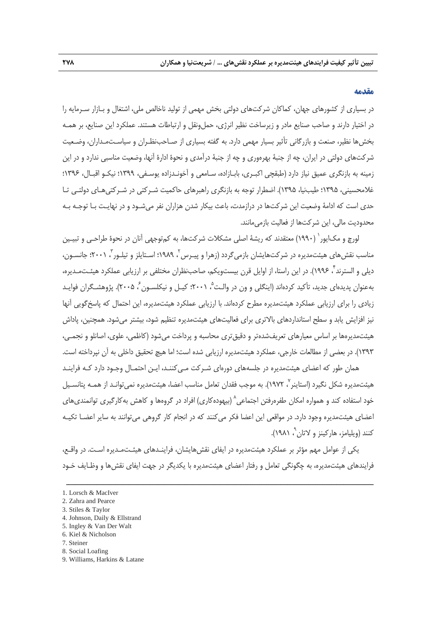#### **مقدمه**

در بسياري از كشورهاي جهان، كماكان شركتهاي دولتي بخش مهمي از توليد ناخالص ملي، اشتغال و بـازار سـرمايه را در اختيار دارند و صاحب صنايع مادر و زيرساخت نظير انرژي، حمل ونقل و ارتباطات هستند. عملكرد اين صنايع، بر همـه بخشها نظير، صنعت و بازرگاني تأثير بسيار مهمي دارد. به گفته بسياري از صـاحبنظـران و سياسـتمـداران، وضـعيت شركتهاي دولتي در ايران، چه از جنبة بهرهوري و چه از جنبة درآمدي و نحوة ادارة آنها، وضعيت مناسبي ندارد و در اين زمينه به بازنگري عميق نياز دارد (طبقچي اكبـري، بابـازاده، سـامعي و آخونـدزاده يوسـفي، 1399؛ نيكـو اقبـال، 1396؛ غلامحسيني، 1395؛ طيبنيا، 1395). اضطرار توجه به بازنگري راهبرهاي حاكميت شـركتي در شـركتيهـاي دولتـي تـا حدي است كه ادامة وضعيت اين شركتها در درازمدت، باعث بيكار شدن هزاران نفر ميشـود و در نهايـت بـا توجـه بـه محدوديت مالي، اين شركتها از فعاليت بازمي مانند.

لورچ و مك|يور` (١٩٩٠) معتقدند كه ريشة اصلي مشكلات شركتها، به كمتوجهي آنان در نحوة طراحـي و تبيـين مناسب نقش هاي هيئتمديره در شر كتهايشان بازمي گردد (زهرا و پيـرس <sup>۲</sup>، ١٩٨٩؛ اسـتايلز و تيلـور <sup>ت</sup>ا ٢٠٠١؛ جانسـون، ديلي و السترند ، 1996). در اين راستا، از اوايل قرن بيستويكم، صاحبنظران مختلفي بر ارزيابي عملكرد هيئـتمـديره، <sup>4</sup> بهعنوان پديدهاي جديد، تأكيد كردهاند (اينگلي و ون در والـت °، ٢٠٠١؛ كيـل و نيكلسـون ۶ ،٢٠٠۵). پژوهشـگران فوايـد زيادي را براي ارزيابي عملكرد هيئتمديره مطرح كردهاند. با ارزيابي عملكرد هيئتمديره، اين احتمال كه پاسخگويي آنها نيز افزايش يابد و سطح استانداردهاي بالاتري براي فعاليتهاي هيئتمديره تنظيم شود، بيشتر ميشود. همچنين، پاداش هيئتمديرهها بر اساس معيارهاي تعريفشدهتر و دقيقتري محاسبه و پرداخت ميشود (كاظمي، علوي، اصانلو و نجمـي، 1393). در بعضي از مطالعات خارجي، عملكرد هيئتمديره ارزيابي شده است؛ اما هيچ تحقيق داخلي به آن نپرداخته است.

همان طور كه اعضاي هيئتمديره در جلسههاي دورهاي شـركت مـيكننـد، ايـن احتمـال وجـود دارد كـه فراينـد هيئتمديره شكل نگيرد (استاينر `، ١٩٧٢). به موجب فقدان تعامل مناسب اعضا، هيئتمديره نمىتوانـد از همـه پتانسـيل خود استفاده كند و همواره امكان طفرورفتن اجتماعي^ (بيهودهكاري) افراد در گروهها و كاهش بهكارگيري توانمنديهاي اعضاي هيئتمديره وجود دارد. در مواقعي اين اعضا فكر ميكنند كه در انجام كار گروهي ميتوانند به ساير اعضـا تكيـه ، 1981). <sup>9</sup> كنند (ويليامز، هاركينز و لاتان

يكي از عوامل مهم مؤثر بر عملكرد هيئتمديره در ايفاي نقشهايشان، فراينـدهاي هيئـتمـديره اسـت. در واقـع، فرايندهاي هيئتمديره، به چگونگي تعامل و رفتار اعضاي هيئتمديره با يكديگر در جهت ايفاي نقشها و وظـايف خـود

- 4. Johnson, Daily & Ellstrand
- 5. Ingley & Van Der Walt
- 6. Kiel & Nicholson
- 7. Steiner
- 8. Social Loafing
- 9. Williams, Harkins & Latane

<sup>1.</sup> Lorsch & MacIver

<sup>2.</sup> Zahra and Pearce

<sup>3.</sup> Stiles & Taylor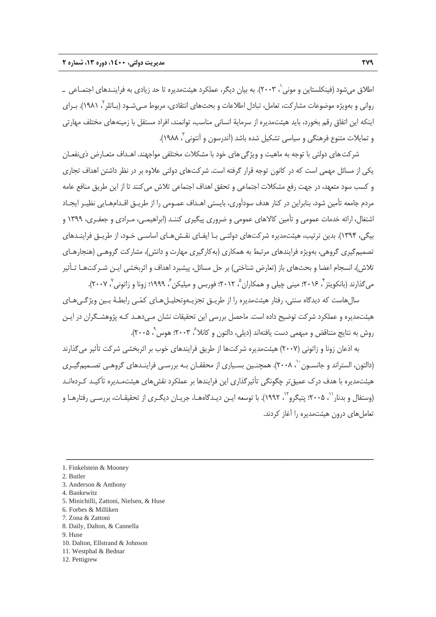اطلاق مي شود (فينكلستاين و موني `، ٢٠٠٣). به بيان ديگر، عملكرد هيئتمديره تا حد زيادي به فراينـدهاي اجتمـاعي ـ رواني و بهويژه موضوعات مشاركت، تعامل، تبادل اطلاعات و بحثهاي انتقادي، مربوط مـي شـود (بـاتلر \، ١٩٨١). بـراي اينكه اين اتفاق رقم بخورد، بايد هيئتمديره از سرماية انساني مناسب، توانمند، افراد مستقل با زمينههاي مختلف مهارتي و تمايلات متنوع فرهنگي و سياسي تشكيل شده باشد (آندرسون و آنتوني 3 .(1988 ،

شركت هاي دولتي با توجه به ماهيت و ويژگي هاي خود با مشكلات مختلفي مواجهند. اهـداف متعـارض ذيiفعـان يكي از مسائل مهمي است كه در كانون توجه قرار گرفته است. شركتهاي دولتي علاوه بر در نظر داشتن اهداف تجاري و كسب سود متعهد، در جهت رفع مشكلات اجتماعي و تحقق اهداف اجتماعي تلاش ميكنند تا از اين طريق منافع عامه مردم جامعه تأمين شود، بنابراين در كنار هدف سودآوري، بايستي اهـداف عمـومي را از طريـق اقـدامهـايي نظيـر ايجـاد اشتغال، ارائه خدمات عمومي و تأمين كالاهاي عمومي و ضروري پيگيري كننـد (ابراهيمـي، مـرادي و جعفـري، 1399 و بيگي، 1394). بدين ترتيب، هيئتمديره شركتهاي دولتـي بـا ايفـاي نقـشهـاي اساسـي خـود، از طريـق فراينـدهاي تصميمگيري گروهي، بهويژه فرايندهاي مرتبط به همكاري (بهكارگيري مهارت و دانش)، مشاركت گروهـي (هنجارهـاي تلاش)، انسجام اعضا و بحثهاي باز (تعارض شناختي) بر حل مسائل، پيشبرد اهداف و اثربخشي ايـن شـركتهـا تـأثير می2ذارند (بانکویتز ً، ۲۰۱۶؛ مینی چیلی و همکاران ْ، ۲۰۱۲؛ فوربس و میلیکن ً، ۱۹۹۹؛ زونا و زاتونی ْ، ۲۰۰۷).

سالهاست كه ديدگاه سنتي، رفتار هيئتمديره را از طريـق تجزيـهوتحليـلهـاي كمـي رابطـة بـين ويژگـيهـاي هيئتمديره و عملكرد شركت توضيح داده است. ماحصل بررسي اين تحقيقات نشان مـيدهـد كـه پژوهشـگران در ايـن روش به نتايج متناقض و مبهمي دست يافتهاند (ديلي، دالتون و كانلا<sup>^</sup>، ٢٠٠٣؛ هوس`، ٢٠٠۵).

به اذعان زونا و زاتوني (2007) هيئتمديره شركتها از طريق فرايندهاي خوب بر اثربخشي شركت تأثير ميگذارند (دالتون، الستراند و جانسـون ``، ۲۰۰۸). همچنـين بسـياري از محققـان بـه بررسـي فراينـدهاي گروهـي تصـميمگيـري هيئتمديره با هدف درك عميقتر چگونگي تأثيرگذاري اين فرايندها بر عملكرد نقشهاي هيئتمـديره تأكيـد كـردهانـد (وستفال و بدنار ``، ۲۰۰۵؛ پتيگرو `` ، ۱۹۹۲). با توسعه ايـن ديـدگاههـا، جريـان ديگـرى از تحقيقـات، بررسـي رفتارهـا و تعاملهاي درون هيئتمديره را آغاز كردند.

- 5. Minichilli, Zattoni, Nielsen, & Huse
- 6. Forbes & Milliken
- 7. Zona & Zattoni
- 8. Daily, Dalton, & Cannella
- 9. Huse
- 10. Dalton, Ellstrand & Johnson
- 11. Westphal & Bednar
- 12. Pettigrew

<sup>1.</sup> Finkelstein & Mooney

<sup>2.</sup> Butler

<sup>3.</sup> Anderson & Anthony

<sup>4.</sup> Bankewitz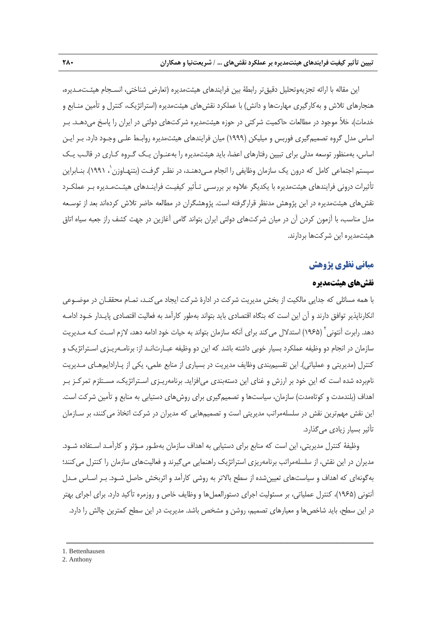اين مقاله با ارائه تجزيهوتحليل دقيقتر رابطة بين فرايندهاي هيئتمديره (تعارض شناختي، انسـجام هيئـتمـديره، هنجارهاي تلاش و بهكارگيري مهارتها و دانش) با عملكرد نقشهاي هيئتمديره (استراتژيك، كنترل و تأمين منـابع و خدمات)، خلأ موجود در مطالعات حاكميت شركتي در حوزه هيئتمديره شركتهاي دولتي در ايران را پاسخ ميدهـد. بـر اساس مدل گروه تصميمگيري فوربس و ميليكن (1999) ميان فرايندهاي هيئتمديره روابـط علـي وجـود دارد. بـر ايـن اساس، بهمنظور توسعه مدلي براي تبيين رفتارهاي اعضا، بايد هيئتمديره را بهعنـوان يـك گـروه كـاري در قالـب يـك سيستم اجتماعي كامل كه درون يك سازمان وظايفي را انجام مـيدهنـد، در نظـر گرفـت (بتنهـاوزن 1 ، 1991). بنـابراين تأثيرات دروني فرايندهاي هيئتمديره با يكديگر علاوه بر بررسـي تـأثير كيفيـت فراينـدهاي هيئـتمـديره بـر عملكـرد نقشهاي هيئتمديره در اين پژوهش مدنظر قرارگرفته است. پژوهشگران در مطالعه حاضر تلاش كردهاند بعد از توسـعه مدل مناسب، با آزمون كردن آن در ميان شركتهاي دولتي ايران بتواند گامي آغازين در جهت كشف راز جعبه سياه اتاق هيئتمديره اين شركتها بردارند.

## **مباني نظري پژوهش**

## **نقشهاي هيئتمديره**

با همه مسائلي كه جدايي مالكيت از بخش مديريت شركت در ادارة شركت ايجاد ميكنـد، تمـام محققـان در موضـوعي انكارناپذير توافق دارند و آن اين است كه بنگاه اقتصادي بايد بتواند بهطور كارآمد به فعاليت اقتصادي پايـدار خـود ادامـه دهد. رابرت آنتونی<sup>۲</sup> (۱۹۶۵) استدلال میکند برای آنکه سازمان بتواند به حیات خود ادامه دهد، لازم اسـت کـه مـدیریت سازمان در انجام دو وظيفه عملكرد بسيار خوبي داشته باشد كه اين دو وظيفه عبـارتانـد از: برنامـهريـزي اسـتراتژيك و كنترل (مديريتي و عملياتي). اين تقسيمبندي وظايف مديريت در بسياري از منابع علمي، يكي از پـارادايمهـاي مـديريت نامبرده شده است كه اين خود بر ارزش و غناي اين دستهبندي ميافزايد. برنامهريـزي اسـتراتژيك، مسـتلزم تمركـز بـر اهداف (بلندمدت و كوتاهمدت) سازمان، سياستها و تصميمگيري براي روشهاي دستيابي به منابع و تأمين شركت است. اين نقش مهمترين نقش در سلسلهمراتب مديريتي است و تصميمهايي كه مديران در شركت اتخاذ ميكنند، بر سـازمان تأثير بسيار زيادي ميگذارد.

وظيفة كنترل مديريتي، اين است كه منابع براي دستيابي به اهداف سازمان بهطـور مـؤثر و كارآمـد اسـتفاده شـود. مديران در اين نقش، از سلسلهمراتب برنامهريزي استراتژيک راهنمايي ميگيرند و فعاليتهاي سازمان را كنترل مي كنند؛ بهگونهاي كه اهداف و سياستهاي تعيينشده از سطح بالاتر به روشي كارآمد و اثربخش حاصل شـود. بـر اسـاس مـدل آنتوني (1965)، كنترل عملياتي، بر مسئوليت اجراي دستورالعملها و وظايف خاص و روزمره تأكيد دارد. براي اجراي بهتر در اين سطح، بايد شاخصها و معيارهاي تصميم، روشن و مشخص باشد. مديريت در اين سطح كمترين چالش را دارد.

ــــــــــــــــــــــــــــــــــــــــــــــــــــــــــــــــــــــــــــــــــــــــــــــــــــــــــــــــــــــــــــــــــــ

1. Bettenhausen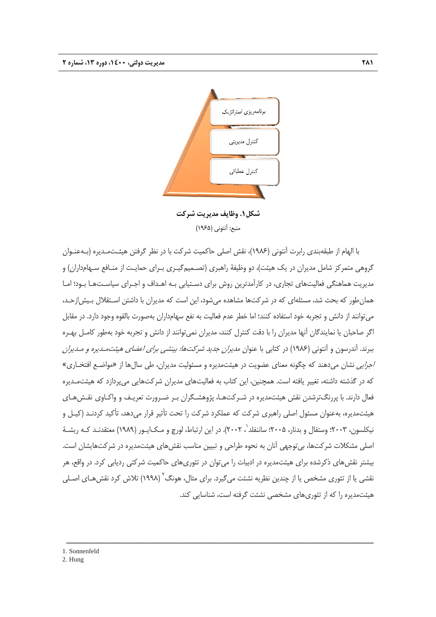

**شركت وظايف مديريت شكل.1 و** منبع: آنتوني (١٩۶۵)

با الهام از طبقهبندی رابرت اَنتونی (۱۹۸۶)، نقش اصلی حاکمیت شرکت با در نظر گرفتن هیئـتمـدیره (بـهعنـوان گروهی متمركز شامل مديران در يک هيئت)، دو وظيفهٔ راهبری (تصـميمگيـری بـرای حمايـت از منـافع سـهامداران) و مديريت هماهنگي فعاليتهاي تجاري، در كارآمدترين روش براي دسـتيابي بـه اهـداف و اجـراي سياسـتهـا بـود؛ امـا همانطور كه بحث شد، مسئلهاى كه در شركتها مشاهده مىشود، اين است كه مديران با داشتن اسـتقلال بـيش|زحـد، می توانند از دانش و تجربه خود استفاده کنند؛ اما خطر عدم فعالیت به نفع سهامداران بهصورت بالقوه وجود دارد. در مقابل گر صاحبان يا نمايندگان أنها مديران را با دقت كنترل كنند، مديران نمىتوانند از دانش و تجربه خود بهطور كامـل بهـره ببرند. آندرسون و آنتوني (١٩٨٤) در كتابي با عنوان *مديران جديد شركتها: بينشي براي اعضاي هيئتمـديره و مـديران* /*جرايي* نشان ميدهند كه چگونه معناي عضويت در هيئتمديره و مسئوليت مديران، طي سالها از «مواضـع افتخـاري» كه در گذشته داشته، تغيير يافته است. همچنين، اين كتاب به فعاليتهاى مديران شركتهايى مىپردازد كه هيئتمـديره فعال دارند. با پررنگترشدن نقش هیئتمدیره در شـرکتهـا، پژوهشـگران بـر ضـرورت تعریـف و واکـاوی نقـش@عای هيئتمديره، بهعنوان مسئول اصلي راهبري شركت كه عملكرد شركت را تحت تأثير قرار ميدهد، تأكيد كردنـد (كيـل و نيكلسون، ٢٠٠٣؛ وستفال و بدنار، ٢٠٠۵؛ ساننفلد'، ٢٠٠٢). در اين ارتباط، لورچ و مـك|يــور (١٩٨٩) معتقدنـد كـه ريشــهٔ 'صلی مشکلات شرکتها، بی توجهی آنان به نحوه طراحی و تبیین مناسب نقشهای هیئتمدیره در شرکتهایشان است. یشتر نقشهای ذکرشده برای هیئتمدیره در ادبیات را می¤وان در تئوریهای حاکمیت شرکتی ردیابی کرد. در واقع، هر نقشی يا از تئوری مشخص يا از چندين نظريه نشئت میگيرد. برای مثال، هونگ<sup>۲</sup> (۱۹۹۸) تلاش كرد نقش هـای اصـلی هيئتمديره را كه از تئورىهاى مشخصى نشئت گرفته است، شناسايى كند.

ــــــــــــــــــ

ــــــــــــــــــ

ــــــــــــــــــ

ــــــــــــــــــ

ـــــــــ

1. Sonnenfeld

ــــــــــــــــــ

ــــــــــــــــــ

ــــــــــــــــــ

2. Hung

ــــــ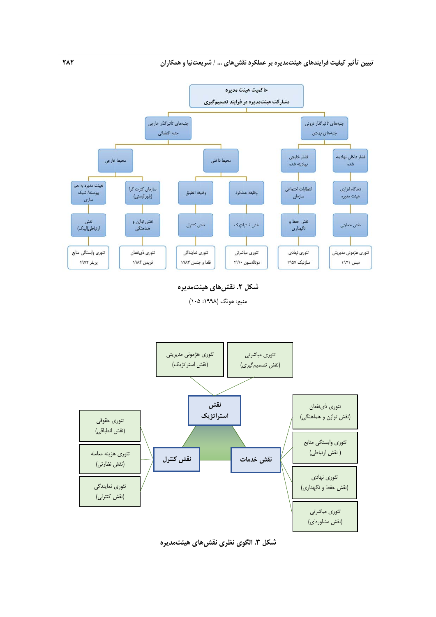

**شكل .2 نقشهاي هيئتمديره** 

منبع: هونگ (١٩٩٨: ١٠۵)



**شكل .3 الگوي نظري نقشهاي هيئتمديره**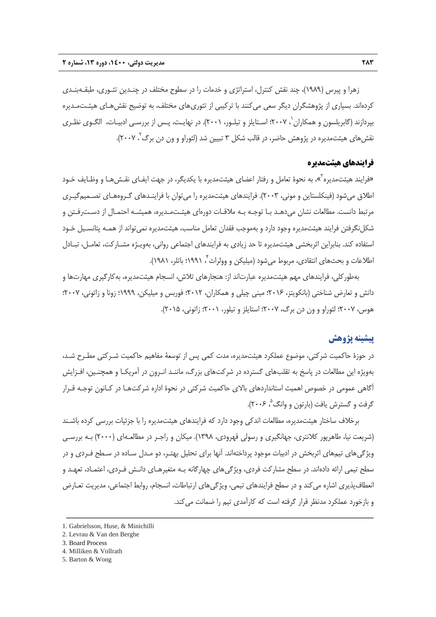زهرا و پيرس (1989)، چند نقش كنترل، استراتژي و خدمات را در سطوح مختلف در چنـدين تئـوري، طبقـهبنـدي كردهاند. بسياري از پژوهشگران ديگر سعي ميكنند با تركيبي از تئوريهاي مختلف، به توضيح نقشهـاي هيئـتمـديره بپردازند (گابريلسون و همكاران '، ۲۰۰۷؛ اسـتايلز و تيلـور، ۲۰۰۱). در نهايـت، پـس از بررسـي ادبيـات، الگـوي نظـري نقشهای هیئتمدیره در پژوهش حاضر، در قالب شكل ۳ تبيين شد (لئوراو و ون دن برگ<sup>۲</sup>، ۲۰۰۷).

### **فرايندهاي هيئتمديره**

«فرايند هيئتمديره<sup>"</sup>»، به نحوهٔ تعامل و رفتار اعضاي هيئتمديره با يكديگر، در جهت ايفـاي نقـشαـا و وظـايف خـود اطلاق ميشود (فينكلستاين و موني، 2003). فرايندهاي هيئتمديره را ميتوان با فراينـدهاي گـروههـاي تصـميمگيـري مرتبط دانست. مطالعات نشان ميدهـد بـا توجـه بـه ملاقـات دورهاي هيئـتمـديره، هميشـه احتمـال از دسـترفـتن و شكل نگرفتن فرايند هيئتمديره وجود دارد و بهموجب فقدان تعامل مناسب، هيئتمديره نمي تواند از همـه پتانسـيل خـود استفاده كند. بنابراين اثربخشي هيئتمديره تا حد زيادي به فرايندهاي اجتماعي رواني، بهويـژه مشـاركت، تعامـل، تبـادل اطلاعات و بحثهاي انتقادي، مربوط ميشود (ميليكن و وولراث ً، ١٩٩١؛ باتلر، ١٩٨١).

بهطوركلي، فرايندهاي مهم هيئتمديره عبارتاند از: هنجارهاي تلاش، انسجام هيئتمديره، بهكارگيري مهارتها و دانش و تعارض شناختي (بانكويتز، 2016؛ ميني چيلي و همكاران، 2012؛ فوربس و ميليكن، 1999؛ زونا و زاتوني، 2007؛ هوس، 2007؛ لئوراو و ون دن برگ، 2007؛ استايلز و تيلور، 2001؛ زاتوني، 2015).

## **پيشينه پژوهش**

در حوزة حاكميت شركتي، موضوع عملكرد هيئتمديره، مدت كمي پس از توسعة مفاهيم حاكميت شـركتي مطـرح شـد، بهويژه اين مطالعات در پاسخ به تقلبهاي گسترده در شركتهاي بزرگ، ماننـد انـرون در آمريكـا و همچنـين، افـزايش آگاهي عمومي در خصوص اهميت استانداردهاي بالاي حاكميت شركتي در نحوة اداره شركتهـا در كـانون توجـه قـرار گرفت و گسترش يافت (بارتون و وانگ  $\degree$  ۲۰۰۶).

برخلاف ساختار هيئتمديره، مطالعات اندكي وجود دارد كه فرايندهاي هيئتمديره را با جزئيات بررسي كرده باشـند (شريعت نيا، طاهرپور كلانتري، جهانگيري و رسولي قهرودي، 1398). ميكان و راجـر در مطالعـهاي (2000) بـه بررسـي ويژگيهاي تيمهاي اثربخش در ادبيات موجود پرداختهاند. آنها براي تحليل بهتـر، دو مـدل سـاده در سـطح فـردي و در سطح تيمي ارائه دادهاند. در سطح مشاركت فردي، ويژگيهاي چهارگانه بـه متغيرهـاي دانـش فـردي، اعتمـاد، تعهـد و انعطافپذيري اشاره مي كند و در سطح فرايندهاي تيمي، ويژگي هاي ارتباطات، انسجام، روابط اجتماعي، مديريت تعـارض و بازخورد عملكرد مدنظر قرار گرفته است كه كارآمدي تيم را ضمانت ميكند.

<sup>1.</sup> Gabrielsson, Huse, & Minichilli

<sup>2.</sup> Levrau & Van den Berghe

<sup>3.</sup> Board Process

<sup>4.</sup> Milliken & Vollrath

<sup>5.</sup> Barton & Wong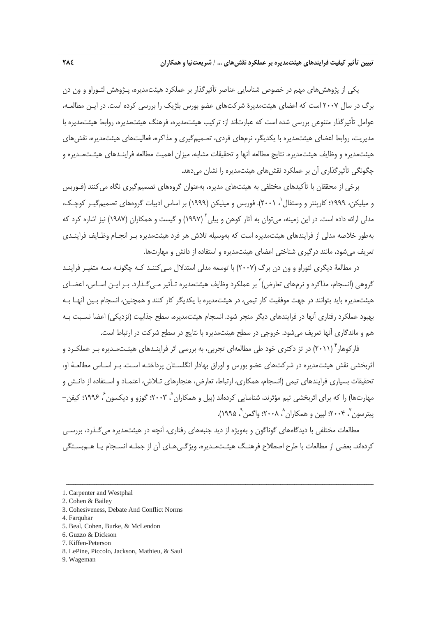يكي از پژوهشهاي مهم در خصوص شناسايي عناصر تأثيرگذار بر عملكرد هيئتمديره، پـژوهش لئـوراو و ون دن برگ در سال 2007 است كه اعضاي هيئتمديرة شركتهاي عضو بورس بلژيك را بررسي كرده است. در ايـن مطالعـه، عوامل تأثيرگذار متنوعي بررسي شده است كه عبارتاند از: تركيب هيئتمديره، فرهنگ هيئتمديره، روابط هيئتمديره با مديريت، روابط اعضاي هيئتمديره با يكديگر، نرمهاي فردي، تصميمگيري و مذاكره، فعاليتهاي هيئتمديره، نقشهاي هيئتمديره و وظايف هيئتمديره. نتايج مطالعه آنها و تحقيقات مشابه، ميزان اهميت مطالعه فراينـدهاي هيئـتمـديره و چگونگي تأثيرگذاري آن بر عملكرد نقشهاي هيئتمديره را نشان ميدهد.

برخي از محققان با تأكيدهاي مختلفي به هيئتهاي مديره، بهعنوان گروههاي تصميمگيري نگاه ميكنند (فـوربس و میلیکن، ۱۹۹۹؛ کارپنتر و وستفال $'$ ، ۲۰۰۱). فوربس و میلیکن (۱۹۹۹) بر اساس ادبیات گروههای تصمیمگیـر کوچـک، مدلي ارائه داده است. در اين زمينه، مي توان به آثار كوهن و بيلي آ (١٩٩٧) و گيست و همكاران (١٩٨٧) نيز اشاره كرد كه بهطور خلاصه مدلي از فرايندهاي هيئتمديره است كه بهوسيله تلاش هر فرد هيئتمديره بـر انجـام وظـايف فراينـدي تعريف ميشود، مانند درگيري شناختي اعضاي هيئتمديره و استفاده از دانش و مهارتها.

در مطالعة ديگري لئوراو و ون دن برگ (2007) با توسعه مدلي استدلال مـيكننـد كـه چگونـه سـه متغيـر فراينـد گروهی (انسجام، مذاکره و نرمهای تعارض)<sup>۳</sup> بر عملکرد وظايف هيئتمديره تـأثير مـ*ي گ*ـذارد. بـر ايـن اسـاس، اعضـای هيئتمديره بايد بتوانند در جهت موفقيت كار تيمي، در هيئتمديره با يكديگر كار كنند و همچنين، انسجام بـين آنهـا بـه بهبود عملكرد رفتاري آنها در فرايندهاي ديگر منجر شود. انسجام هيئتمديره، سطح جذابيت (نزديكي) اعضا نسـبت بـه هم و ماندگاري آنها تعريف ميشود. خروجي در سطح هيئتمديره با نتايج در سطح شركت در ارتباط است.

فارکوهار ٌ (۲۰۱۱) در تز دکتری خود طی مطالعهای تجربی، به بررسی اثر فراینـدهای هیئـتمـدیره بـر عملکـرد و اثربخشي نقش هيئتمديره در شركتهاي عضو بورس و اوراق بهادار انگلسـتان پرداختـه اسـت. بـر اسـاس مطالعـة او، تحقيقات بسياري فرايندهاي تيمي (انسجام، همكاري، ارتباط، تعارض، هنجارهاي تـلاش، اعتمـاد و اسـتفاده از دانـش و مهارتها) را كه براي اثربخشي تيم مؤثرند، شناسايي كردهاند (بيل و همكاران <sup>۵</sup> ۲۰۰۳؛ گوزو و ديكسون <sup>۶</sup> ۱۹۹۶؛ كيفن – پيترسون ٌ، ۲۰۰۴؛ لپين و همكاران ُ، ۲۰۰۸؛ واگمن ْ، ۱۹۹۵).

مطالعات مختلفي با ديدگاههاي گوناگون و بهويژه از ديد جنبههاي رفتاري، آنچه در هيئتمديره ميگـذرد، بررسـي كردهاند. بعضي از مطالعات با طرح اصطلاح فرهنـگ هيئـتمـديره، ويژگـيهـاي آن از جملـه انسـجام يـا هـمبسـتگي

- 3. Cohesiveness, Debate And Conflict Norms
- 4. Farquhar
- 5. Beal, Cohen, Burke, & McLendon
- 6. Guzzo & Dickson
- 7. Kiffen-Peterson
- 8. LePine, Piccolo, Jackson, Mathieu, & Saul
- 9. Wageman

<sup>1.</sup> Carpenter and Westphal

<sup>2.</sup> Cohen & Bailey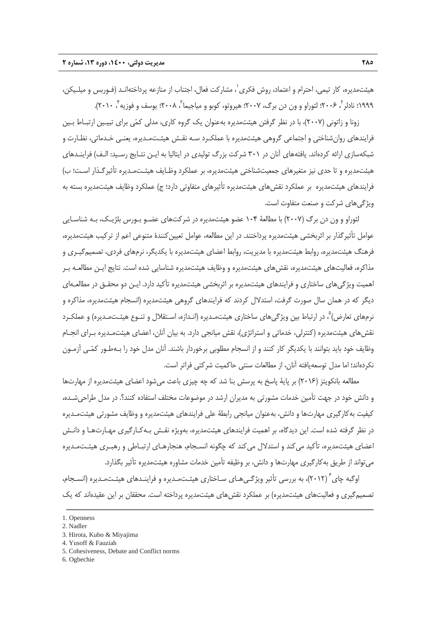هيئتمديره، كار تيمى، احترام و اعتماد، روش فكرى`، مشاركت فعال، اجتناب از منازعه پرداختهانـد (فـوربس و ميلـيكن، ١٩٩٩: نادلر<sup>۲</sup>، ٢٠٠۶؛ لئوراو و ون دن برگ، ٢٠٠٧؛ هيروتو، كوبو و مياجيما <sup>٣</sup>، ٢٠٠٨؛ يوسف و فوزيه <sup>٢</sup>، ٢٠١٠).

زونا و زاتوني (2007)، با در نظر گرفتن هيئتمديره بهعنوان يك گروه كاري، مدلي كمي براي تبيـين ارتبـاط بـين فرايندهاي روانشناختي و اجتماعي گروهي هيئتمديره با عملكـرد سـه نقـش هيئـتمـديره، يعنـي خـدماتي، نظـارت و شبكهسازي ارائه كردهاند. يافتههاي آنان در 301 شركت بزرگ توليدي در ايتاليا به ايـن نتـايج رسـيد: الـف) فراينـدهاي هيئتمديره و تا حدي نيز متغيرهاي جمعيتشناختي هيئتمديره، بر عملكرد وظـايف هيئـتمـديره تأثيرگـذار اسـت؛ ب) فرايندهاي هيئتمديره بر عملكرد نقشهاي هيئتمديره تأثيرهاي متفاوتي دارد؛ ج) عملكرد وظايف هيئتمديره بسته به ويژگيهاي شركت و صنعت متفاوت است.

لئوراو و ون دن برگ (2007) با مطالعة 104 عضو هيئتمديره در شركتهاي عضـو بـورس بلژيـك، بـه شناسـايي عوامل تأثيرگذار بر اثربخشي هيئتمديره پرداختند. در اين مطالعه، عوامل تعيينكنندة متنوعي اعم از تركيب هيئتمديره، فرهنگ هيئتمديره، روابط هيئتمديره با مديريت، روابط اعضاي هيئتمديره با يكديگر، نرمهاي فردي، تصميمگيـري و مذاكره، فعاليتهاي هيئتمديره، نقشهاي هيئتمديره و وظايف هيئتمديره شناسايي شده است. نتايج ايـن مطالعـه بـر اهميت ويژگيهاي ساختاري و فرايندهاي هيئتمديره بر اثربخشي هيئتمديره تأكيد دارد. ايـن دو محقـق در مطالعـهاي ديگر كه در همان سال صورت گرفت، استدلال كردند كه فرايندهاي گروهي هيئتمديره (انسجام هيئتمديره، مذاكره و نرمهاي تعارض) ْ، در ارتباط بين ويژگي هاي ساختاري هيئتمـديره (انـدازه، اسـتقلال و تنـوع هيئـتمـديره) و عملكـرد نقشهاي هيئتمديره (كنترلي، خدماتي و استراتژي)، نقش ميانجي دارد. به بيان آنان، اعضاي هيئتمـديره بـراي انجـام وظايف خود بايد بتوانند با يكديگر كار كنند و از انسجام مطلوبي برخوردار باشند. آنان مدل خود را بـهطـور كمـي آزمـون نكردهاند؛ اما مدل توسعهيافته آنان، از مطالعات سنتي حاكميت شركتي فراتر است.

مطالعه بانكويتز (2016) بر پاية پاسخ به پرسش بنا شد كه چه چيزي باعث ميشود اعضاي هيئتمديره از مهارتها و دانش خود در جهت تأمين خدمات مشورتي به مديران ارشد در موضوعات مختلف استفاده كنند؟. در مدل طراحيشـده، كيفيت بهكارگيري مهارتها و دانش، بهعنوان ميانجي رابطة علي فرايندهاي هيئتمديره و وظايف مشورتي هيئتمـديره در نظر گرفته شده است. اين ديدگاه، بر اهميت فرايندهاي هيئتمديره، بهويژه نقـش بـهكـارگيري مهـارتهـا و دانـش اعضاي هيئتمديره، تأكيد ميكند و استدلال ميكند كه چگونه انسـجام، هنجارهـاي ارتبـاطي و رهبـري هيئـتمـديره ميتواند از طريق بهكارگيري مهارتها و دانش، بر وظيفه تأمين خدمات مشاوره هيئتمديره تأثير بگذارد.

اوگبه چاي<sup>۲</sup> (۲۰۱۲)، به بررسي تأثير ويژگـي هـاي سـاختاري هيئـتمـديره و فراينـدهاي هيئـتمـديره (انسـجام، تصميمگيري و فعاليتهاي هيئتمديره) بر عملكرد نقشهاي هيئتمديره پرداخته است. محققان بر اين عقيدهاند كه يك

<sup>1.</sup> Openness

<sup>2.</sup> Nadler

<sup>3.</sup> Hirota, Kubo & Miyajima

<sup>4.</sup> Yusoff & Fauziah

<sup>5.</sup> Cohesiveness, Debate and Conflict norms

<sup>6.</sup> Ogbechie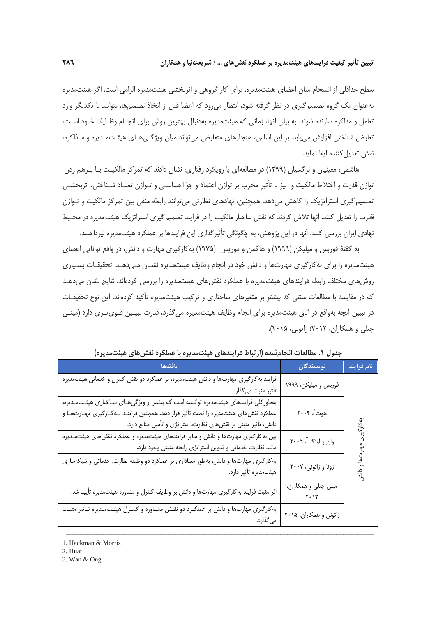سطح حداقلي از انسجام ميان اعضاي هيئتمديره، براي كار گروهي و اثربخشي هيئتمديره الزامي است. اگر هيئتمديره بهعنوان يك گروه تصميمگيري در نظر گرفته شود، انتظار ميرود كه اعضا قبل از اتخاذ تصميمها، بتوانند با يكديگر وارد تعامل و مذاكره سازنده شوند. به بيان آنها، زماني كه هيئتمديره بهدنبال بهترين روش براي انجـام وظـايف خـود اسـت، تعارض شناختي افزايش مييابد. بر اين اساس، هنجارهاي متعارض ميتواند ميان ويژگـيهـاي هيئـتمـديره و مـذاكره، نقش تعديل كننده ايفا نمايد.

هاشمي، معينيان و نرگسيان (1399) در مطالعهاي با رويكرد رفتاري، نشان دادند كه تمركز مالكيـت بـا بـرهم زدن توازن قدرت و اختلاط مالكيت و نيز با تأثير مخرب بر توازن اعتماد و جو احساسـي و تـوازن تضـاد شـناختي، اثربخشـي تصميمگيري استراتژيك را كاهش ميدهد. همچنين، نهادهاي نظارتي ميتوانند رابطه منفي بين تمركز مالكيت و تـوازن قدرت را تعديل كنند. آنها تلاش كردند كه نقش ساختار مالكيت را در فرايند تصميمگيري استراتژيك هيئتمديره در محـيط نهادي ايران بررسي كنند. آنها در اين پژوهش، به چگونگي تأثيرگذاري اين فرايندها بر عملكرد هيئتمديره نپرداختند.

به گفتهٔ فوربس و میلیکن (۱۹۹۹) و هاکمن و موریس` (۱۹۷۵) بهکارگیری مهارت و دانش، در واقع توانایی اعضای هيئتمديره را براي بهكارگيري مهارتها و دانش خود در انجام وظايف هيئتمديره نشـان مـيدهـد. تحقيقـات بسـياري روشهاي مختلف رابطه فرايندهاي هيئتمديره با عملكرد نقشهاي هيئتمديره را بررسي كردهاند. نتايج نشان ميدهـد كه در مقايسه با مطالعات سنتي كه بيشتر بر متغيرهاي ساختاري و تركيب هيئتمديره تأكيد كردهاند، اين نوع تحقيقـات در تبيين آنچه بهواقع در اتاق هيئتمديره براي انجام وظايف هيئتمديره ميگذرد، قدرت تبيـين قـويتـري دارد (مينـي چيلي و همكاران، 2012؛ زاتوني، 2015).

| يافتهها                                                                                                                                                                                                                                            | نويسندگان                    | نام فرايند        |
|----------------------------------------------------------------------------------------------------------------------------------------------------------------------------------------------------------------------------------------------------|------------------------------|-------------------|
| فرایند به کارگیری مهارتها و دانش هیئتمدیره، بر عملکرد دو نقش کنترل و خدماتی هیئتمدیره<br>تأثير مثبت ميگذارد.                                                                                                                                       | فوربس و میلیکن، ۱۹۹۹         |                   |
| بهطور کلی فرایندهای هیئتمدیره توانسته است که بیشتر از ویژگیهای سـاختاری هیئـتمـدیره،<br>عملکرد نقش های هیئتمدیره را تحت تأثیر قرار دهد. همچنین فراینـد بـه کـارگیری مهـارتهـا و<br>دانش، تأثیر مثبتی بر نقشهای نظارت، استراتژی و تأمین منابع دارد. | هوت ٌ، ۲۰۰۴                  |                   |
| بین به کارگیری مهارتها و دانش و سایر فرایندهای هیئتمدیره و عملکرد نقشهای هیئتمـدیره<br>مانند نظارت، خدماتی و تدوین استراتژی رابطه مثبتی وجود دارد.                                                                                                 | وان و اونگ ٢٠٠٥              | بەكارگىرى مھارتىھ |
| به کارگیری مهارتها و دانش، بهطور معناداری بر عملکرد دو وظیفه نظارت، خدماتی و شبکهسازی<br>هیئتمدیره تأثیر دارد.                                                                                                                                     | زونا و زاتوني، ۲۰۰۷          | $\frac{3}{4}$     |
| اثر مثبت فرایند به کارگیری مهارتها و دانش بر وظایف کنترل و مشاوره هیئتمدیره تأیید شد.                                                                                                                                                              | مینی چیلی و همکاران،<br>۲۰۱۲ |                   |
| به کارگیری مهارتها و دانش بر عملکـرد دو نقـش مشـاوره و کنتـرل هیئـتمـدیره تـأثیر مثبـت<br>ميگذارد.                                                                                                                                                 | زاتونی و همکاران، ۲۰۱۵       |                   |

ــــــــــــــــــــــــــــــــــــــــــــــــــــــــــــــــــــــــــــــــــــــــــــــــــــــــــــــــــــــــــــــــــــ

**جدول .1 مطالعات انجامشده (ارتباط فرايندهاي هيئتمديره با عملكرد نقشهاي هيئتمديره)** 

3. Wan & Ong

<sup>1.</sup> Hackman & Morris

<sup>2.</sup> Huat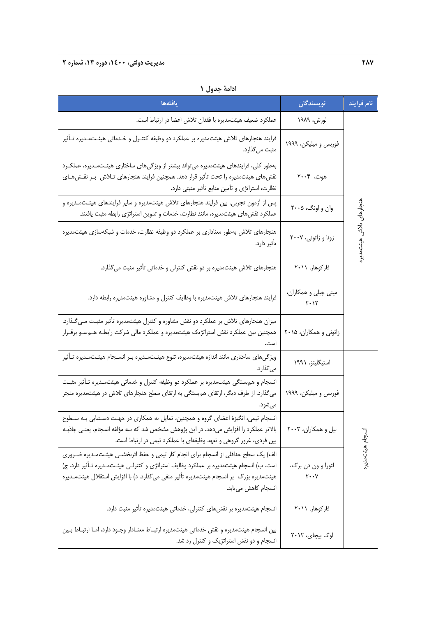| يافتهها                                                                                                                                                                                                                                                                                        | نويسندگان                                           | نام فرايند             |
|------------------------------------------------------------------------------------------------------------------------------------------------------------------------------------------------------------------------------------------------------------------------------------------------|-----------------------------------------------------|------------------------|
| عملکرد ضعیف هیئتمدیره با فقدان تلاش اعضا در ارتباط است.                                                                                                                                                                                                                                        | لورش، ۱۹۸۹                                          |                        |
| فرایند هنجارهای تلاش هیئتمدیره بر عملکرد دو وظیفه کنتـرل و خـدماتی هیئـتمـدیره تـأثیر<br>مثبت ميگذارد.                                                                                                                                                                                         | فوربس و میلیکن، ۱۹۹۹                                |                        |
| بهطور کلی، فرایندهای هیئتمدیره میتواند بیشتر از ویژگیهای ساختاری هیئـتمـدیره، عملکـرد<br>نقشهای هیئتمدیره را تحت تأثیر قرار دهد. همچنین فرایند هنجارهای تـلاش  بـر نقـشهـای<br>نظارت، استراتژی و تأمین منابع تأثیر مثبتی دارد.                                                                 | هوت، ۲۰۰۴                                           |                        |
| پس از آزمون تجربی، بین فرایند هنجارهای تلاش هیئتمدیره و سایر فرایندهای هیئـتمـدیره و<br>عملکرد نقشهای هیئتمدیره، مانند نظارت، خدمات و تدوین استراتژی رابطه مثبت یافتند.                                                                                                                        | وان و اونگ، ۲۰۰۵                                    |                        |
| هنجارهای تلاش بهطور معناداری بر عملکرد دو وظیفه نظارت، خدمات و شبکهسازی هیئتمدیره<br>تأثير دارد.                                                                                                                                                                                               | زونا و زاتونى، ٢٠٠٧                                 | ىنجارهاى تلاش هيئتمدير |
| هنجارهای تلاش هیئتمدیره بر دو نقش کنترلی و خدماتی تأثیر مثبت میگذارد.                                                                                                                                                                                                                          | فاركوهار، ٢٠١١                                      |                        |
| فرایند هنجارهای تلاش هیئتمدیره با وظایف کنترل و مشاوره هیئتمدیره رابطه دارد.                                                                                                                                                                                                                   | مینی چیلی و همکاران،<br>$\mathbf{Y}\cdot\mathbf{Y}$ |                        |
| میزان هنجارهای تلاش بر عملکرد دو نقش مشاوره و کنترل هیئتمدیره تأثیر مثبت مـی٤لذارد.<br>همچنین بین عملکرد نقش استراتژیک هیئتمدیره و عملکرد مالی شرکت رابطـه هـمسـو برقـرار                                                                                                                      | زاتونی و همکاران، ۲۰۱۵                              |                        |
| ویژگیهای ساختاری مانند اندازه هیئتمدیره، تنوع هیئـتمـدیره بـر انسـجام هیئـتمـدیره تـأثیر<br>میگذارد.                                                                                                                                                                                           | استيگليتز، ۱۹۹۱                                     |                        |
| انسجام و هم ستگی هیئتمدیره بر عملکرد دو وظیفه کنترل و خدماتی هیئتمـدیره تـأثیر مثبـت<br>میگذارد. از طرف دیگر، ارتقای هم بستگی به ارتقای سطح هنجارهای تلاش در هیئتمدیره منجر<br>مي شود.                                                                                                         | فوربس و میلیکن، ۱۹۹۹                                |                        |
| انسجام تیمی، انگیزهٔ اعضای گروه و همچنین، تمایل به همکاری در جهت دستیابی بـه سـطوح<br>بالاتر عملكرد را افزايش مىدهد. در اين پژوهش مشخص شد كه سه مؤلفه انسجام، يعنـى جاذبـه<br>بین فردی، غرور گروهی و تعهد وظیفهای با عملکرد تیمی در ارتباط است.                                                | بیل و همکاران، ۲۰۰۳                                 |                        |
| الف) یک سطح حداقلی از انسجام برای انجام کار تیمی و حفظ اثربخشـی هیئـتمـدیره ضـروری<br>است. ب) انسجام هیئتمدیره بر عملکرد وظایف استراتژی و کنترلـی هیئـتمـدیره تـأثیر دارد. ج)<br>هیئتمدیره بزرگ بر انسجام هیئتمدیره تأثیر منفی میگذارد. د) با افزایش استقلال هیئتمـدیره<br>انسجام کاهش مییابد. | لئورا و ون دن برگ،<br>$\mathbf{y} \cdot \mathbf{y}$ | نسجام هيئت مدير        |
| انسجام هیئتمدیره بر نقشهای کنترلی، خدماتی هیئتمدیره تأثیر مثبت دارد.                                                                                                                                                                                                                           | فاركوهار، ٢٠١١                                      |                        |
| بین انسجام هیئتمدیره و نقش خدماتی هیئتمدیره ارتبـاط معنـادار وجـود دارد، امـا ارتبـاط بـین<br>انسجام و دو نقش استراتژیک و کنترل رد شد.                                                                                                                                                         | اوگ بیچای، ۲۰۱۲                                     |                        |

**ادامة جدول 1**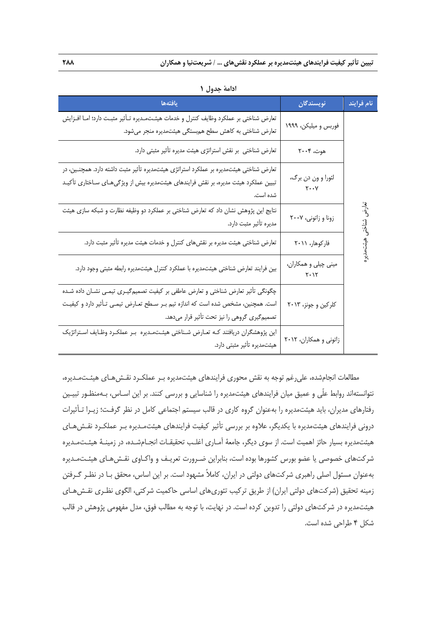| يافتهها                                                                                                                                                                                    | نويسندگان                                           | نام فرايند    |
|--------------------------------------------------------------------------------------------------------------------------------------------------------------------------------------------|-----------------------------------------------------|---------------|
| تعارض شناختي بر عملكرد وظايف كنترل و خدمات هيئـتمـديره تـأثير مثبـت دارد؛ امـا افـزايش<br>تعارض شناختی به کاهش سطح هم بستگی هیئتمدیره منجر می شود.                                         | فوربس و میلیکن، ۱۹۹۹                                |               |
| تعارض شناختی بر نقش استراتژی هیئت مدیره تأثیر مثبتی دارد.                                                                                                                                  | هوت، ۲۰۰۴                                           |               |
| تعارض شناختی هیئتمدیره بر عملکرد استراتژی هیئتمدیره تأثیر مثبت داشته دارد. همچنـین، در<br>تبیین عملکرد هیئت مدیره، بر نقش فرایندهای هیئتمدیره بیش از ویژگیهـای سـاختاری تأکیـد<br>شده است. | لئورا و ون دن برگ،<br>$\mathbf{y} \cdot \mathbf{y}$ |               |
| نتایج این پژوهش نشان داد که تعارض شناختی بر عملکرد دو وظیفه نظارت و شبکه سازی هیئت<br>مديره تأثير مثبت دارد.                                                                               | زونا و زاتونى، ٢٠٠٧                                 | تعارض شناختمى |
| تعارض شناختی هیئت مدیره بر نقشهای کنترل و خدمات هیئت مدیره تأثیر مثبت دارد.                                                                                                                | فاركوهار، ٢٠١١                                      |               |
| بین فرایند تعارض شناختی هیئتمدیره با عملکرد کنترل هیئتمدیره رابطه مثبتی وجود دارد.                                                                                                         | مینی چیلی و همکاران،<br>$Y \cdot Y$                 |               |
| چگونگی تأثیر تعارض شناختی و تعارض عاطفی بر کیفیت تصمیمگیـری تیمـی نشــان داده شــده                                                                                                        |                                                     |               |
| است. همچنین، مشخص شده است که اندازه تیم بـر سـطح تعـارض تیمـی تـأثیر دارد و کیفیـت                                                                                                         | کلرکین و جونز، ۲۰۱۳                                 |               |
| تصمیم گیری گروهی را نیز تحت تأثیر قرار میدهد.                                                                                                                                              |                                                     |               |
| این پژوهشگران دریافتند کـه تعـارض شـناختی هیئـتمـدیره  بـر عملکـرد وظـایف اسـتراتژیک<br>هیئتمدیره تأثیر مثبتی دارد.                                                                        | زاتونی و همکاران، ۲۰۱۲                              |               |

**ادامة جدول 1** 

مطالعات انجامشده، عليرغم توجه به نقش محوري فرايندهاي هيئتمديره بـر عملكـرد نقـشهـاي هيئـتمـديره، نتوانستهاند روابط علّي و عميق ميان فرايندهاي هيئتمديره را شناسايي و بررسي كنند. بر اين اسـاس، بـهمنظـور تبيـين رفتارهاي مديران، بايد هيئتمديره را بهعنوان گروه كاري در قالب سيستم اجتماعي كامل در نظر گرفـت؛ زيـرا تـأثيرات دروني فرايندهاي هيئتمديره با يكديگر، علاوه بر بررسي تأثير كيفيت فرايندهاي هيئتمـديره بـر عملكـرد نقـشهـاي هيئتمديره بسيار حائز اهميت است. از سوي ديگر، جامعة آمـاري اغلـب تحقيقـات انجـامشـده، در زمينـة هيئـتمـديره شركتهاي خصوصي يا عضو بورس كشورها بوده است، بنابراين ضـرورت تعريـف و واكـاوي نقـشهـاي هيئـتمـديره بهعنوان مسئول اصلي راهبري شركتهاي دولتي در ايران، كاملاً مشهود است. بر اين اساس، محقق بـا در نظـر گـرفتن زمينه تحقيق (شركتهاي دولتي ايران) از طريق تركيب تئوريهاي اساسي حاكميت شركتي، الگوي نظـري نقـشهـاي هيئتمديره در شركتهاي دولتي را تدوين كرده است. در نهايت، با توجه به مطالب فوق، مدل مفهومي پژوهش در قالب شكل 4 طراحي شده است.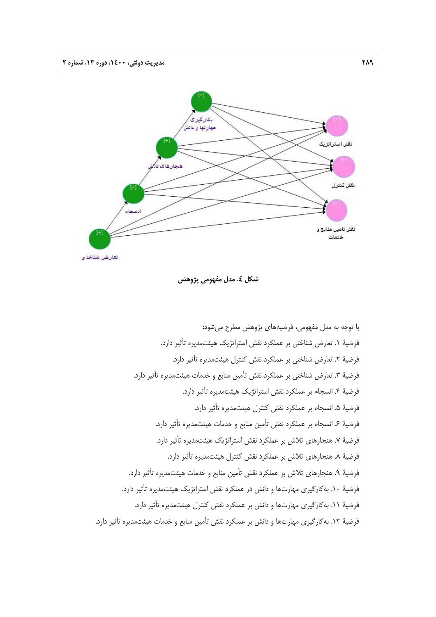

**شكل .4 مدل مفهومي پژوهش** 

با توجه به مدل مفهومي، فرضيههاي پژوهش مطرح ميشود: فرضية .1 تعارض شناختي بر عملكرد نقش استراتژيك هيئتمديره تأثير دارد. فرضية ٢. تعارض شناختي بر عملكرد نقش كنترل هيئتمديره تأثير دارد. فرضية ٣. تعارض شناختي بر عملكرد نقش تأمين منابع و خدمات هيئتمديره تأثير دارد. فرضية .4 انسجام بر عملكرد نقش استراتژيك هيئتمديره تأثير دارد. فرضية .5 انسجام بر عملكرد نقش كنترل هيئتمديره تأثير دارد. فرضية .6 انسجام بر عملكرد نقش تأمين منابع و خدمات هيئتمديره تأثير دارد. فرضية ٧. هنجارهاي تلاش بر عملكرد نقش استراتژيك هيئتمديره تأثير دارد. فرضية ٨. هنجارهاي تلاش بر عملكرد نقش كنترل هيئتمديره تأثير دارد. فرضية .9 هنجارهاي تلاش بر عملكرد نقش تأمين منابع و خدمات هيئتمديره تأثير دارد. فرضية .10 بهكارگيري مهارتها و دانش در عملكرد نقش استراتژيك هيئتمديره تأثير دارد. فرضية .11 بهكارگيري مهارتها و دانش بر عملكرد نقش كنترل هيئتمديره تأثير دارد. فرضية .12 بهكارگيري مهارتها و دانش بر عملكرد نقش تأمين منابع و خدمات هيئتمديره تأثير دارد.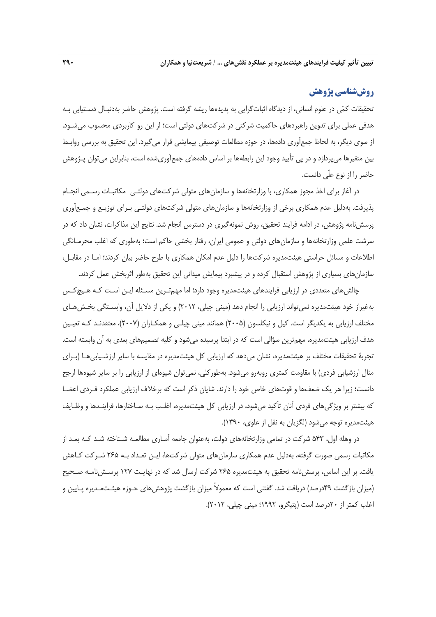## **روششناسي پژوهش**

تحقيقات كمي در علوم انساني، از ديدگاه اثباتگرايي به پديدهها ريشه گرفته است. پژوهش حاضر بهدنبـال دسـتيابي بـه هدفي عملي براي تدوين راهبردهاي حاكميت شركتي در شركتهاي دولتي است؛ از اين رو كاربردي محسوب ميشـود. از سوي ديگر، به لحاظ جمعآوري دادهها، در حوزه مطالعات توصيفي پيمايشي قرار ميگيرد. اين تحقيق به بررسي روابـط بين متغيرها ميپردازد و در پي تأييد وجود اين رابطهها بر اساس دادههاي جمعآوريشده است، بنابراين ميتوان پـژوهش حاضر را از نوع علّي دانست.

در آغاز براي اخذ مجوز همكاري، با وزارتخانهها و سازمانهاي متولي شركتهاي دولتـي مكاتبـات رسـمي انجـام پذيرفت. بهدليل عدم همكاري برخي از وزارتخانهها و سازمانهاي متولي شركتهاي دولتـي بـراي توزيـع و جمـعآوري پرسشنامه پژوهش، در ادامه فرايند تحقيق، روش نمونهگيري در دسترس انجام شد. نتايج اين مذاكرات، نشان داد كه در سرشت علمي وزارتخانهها و سازمانهاي دولتي و عمومي ايران، رفتار بخشي حاكم است؛ بهطوري كه اغلب محرمـانگي اطلاعات و مسائل حراستي هيئتمديره شركتها را دليل عدم امكان همكاري با طرح حاضر بيان كردند؛ امـا در مقابـل، سازمانهاي بسياري از پژوهش استقبال كرده و در پيشبرد پيمايش ميداني اين تحقيق بهطور اثربخش عمل كردند.

چالشهاي متعددي در ارزيابي فرايندهاي هيئتمديره وجود دارد؛ اما مهمتـرين مسـئله ايـن اسـت كـه هـيچكـس بهغيراز خود هيئتمديره نميتواند ارزيابي را انجام دهد (ميني چيلي، 2012) و يكي از دلايل آن، وابسـتگي بخـشهـاي مختلف ارزيابي به يكديگر است. كيل و نيكلسون (2005) همانند ميني چيلـي و همكـاران (2007)، معتقدنـد كـه تعيـين هدف ارزيابي هيئتمديره، مهمترين سؤالي است كه در ابتدا پرسيده ميشود و كليه تصميمهاي بعدي به آن وابسته است. تجربة تحقيقات مختلف بر هيئتمديره، نشان ميدهد كه ارزيابي كل هيئتمديره در مقايسه با ساير ارزشـيابيهـا (بـراي مثال ارزشيابي فردي) با مقاومت كمتري روبهرو ميشود. بهطوركلي، نميتوان شيوهاي از ارزيابي را بر ساير شيوهها ارجح دانست؛ زيرا هر يك ضعفها و قوتهاي خاص خود را دارند. شايان ذكر است كه برخلاف ارزيابي عملكرد فـردي اعضـا كه بيشتر بر ويژگيهاي فردي آنان تأكيد ميشود، در ارزيابي كل هيئتمديره، اغلـب بـه سـاختارها، فراينـدها و وظـايف هيئتمديره توجه ميشود (لگزيان به نقل از علوي، 1390).

در وهله اول، 543 شركت در تمامي وزارتخانههاي دولت، بهعنوان جامعه آمـاري مطالعـه شـناخته شـد كـه بعـد از مكاتبات رسمي صورت گرفته، بهدليل عدم همكاري سازمانهاي متولي شركتها، ايـن تعـداد بـه 265 شـركت كـاهش يافت. بر اين اساس، پرسشنامه تحقيق به هيئتمديره 265 شركت ارسال شد كه در نهايـت 127 پرسـشنامـه صـحيح (ميزان بازگشت 49درصد) دريافت شد. گفتني است كه معمولاً ميزان بازگشت پژوهشهاي حـوزه هيئـتمـديره پـايين و اغلب كمتر از 20درصد است (پتيگرو، 1992؛ ميني چيلي، 2012).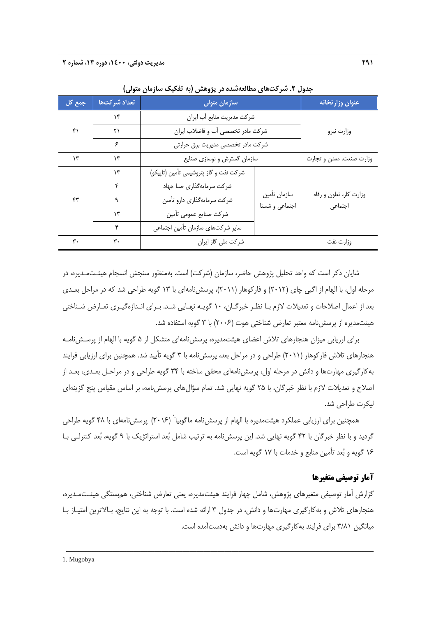| جمع کل | تعداد شركتها  | سازمان متولى                           | عنوان وزار تخانه               |                                    |  |
|--------|---------------|----------------------------------------|--------------------------------|------------------------------------|--|
|        | ۱۴            | شركت مديريت منابع أب ايران             |                                |                                    |  |
| ۴۱     | ۲۱            | شركت مادر تخصصي آب و فاضلاب ايران      | وزارت نيرو                     |                                    |  |
|        | ۶             | شرکت مادر تخصصی مدیریت برق حرارتی      |                                |                                    |  |
| ۱۳     | ۱۳            | سازمان گسترش و نوسازی صنایع            | وزارت صنعت، معدن و تجارت       |                                    |  |
|        | $\mathcal{N}$ | شركت نفت و گاز پتروشيمي تأمين (تاپيكو) |                                |                                    |  |
|        | ۴             | شرکت سرمایهگذاری صبا جهاد              |                                | وزارت كار، تعاون و رفاه<br>اجتماعي |  |
| ۴۳     |               | شركت سرمايهگذاري دارو تأمين            | سازمان تأمين<br>اجتماعي و شستا |                                    |  |
|        | ۱۳            | شركت صنايع عمومي تأمين                 |                                |                                    |  |
|        | ۴             | سایر شرکتهای سازمان تأمین اجتماعی      |                                |                                    |  |
| ٣٠     | ٣٠            | شركت ملي گاز ايران                     |                                | وزارت نفت                          |  |

**جدول .2 شركتهاي مطالعهشده در پژوهش (به تفكيك سازمان متولي)** 

شايان ذكر است كه واحد تحليل پژوهش حاضر، سازمان (شركت) است. بهمنظور سنجش انسجام هيئـتمـديره، در مرحله اول، با الهام از اگبي چاي (2012) و فاركوهار (2011)، پرسشنامهاي با 13 گويه طراحي شد كه در مراحل بعـدي بعد از اعمال اصلاحات و تعديلات لازم بـا نظـر خبرگـان، 10 گويـه نهـايي شـد. بـراي انـدازهگيـري تعـارض شـناختي هيئتمديره از پرسشنامه معتبر تعارض شناختي هوت (2006) با 3 گويه استفاده شد.

براي ارزيابي ميزان هنجارهاي تلاش اعضاي هيئتمديره، پرسشنامهاي متشكل از 5 گويه با الهام از پرسـشنامـه هنجارهاي تلاش فاركوهار (2011) طراحي و در مراحل بعد، پرسشنامه با 3 گويه تأييد شد. همچنين براي ارزيابي فرايند بهكارگيري مهارتها و دانش در مرحله اول، پرسشنامهاي محقق ساخته با 34 گويه طراحي و در مراحـل بعـدي، بعـد از اصلاح و تعديلات لازم با نظر خبرگان، با 25 گويه نهايي شد. تمام سؤالهاي پرسشنامه، بر اساس مقياس پنج گزينهاي ليكرت طراحي شد.

همچنين براى ارزيابى عملكرد هيئتمديره با الهام از پرسشiامه ماگوبيا` (۲۰۱۶) پرسشiامهاى با ۴۸ گويه طراحى گرديد و با نظر خبرگان با 42 گويه نهايي شد. اين پرسشنامه به ترتيب شامل بعد استراتژيك با 9 گويه، بعد كنترلـي بـا 16 گويه و بعد تأمين منابع و خدمات با 17 گويه است.

## **آمار توصيفي متغيرها**

گزارش آمار توصيفي متغيرهاي پژوهش، شامل چهار فرايند هيئتمديره، يعني تعارض شناختي، همبستگي هيئـتمـديره، هنجارهاي تلاش و بهكارگيري مهارتها و دانش، در جدول 3 ارائه شده است. با توجه به اين نتايج، بـالاترين امتيـاز بـا ميانگين 3/81 براي فرايند بهكارگيري مهارتها و دانش بهدستآمده است.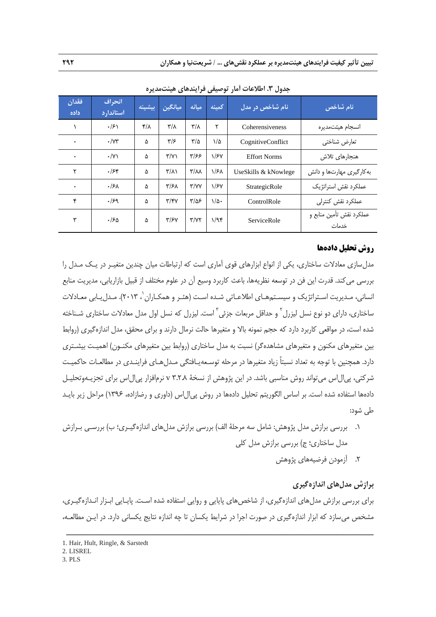| فقدان<br>داده | انحراف<br>استاندارد    | بيشينه                    | ميانگين                 | مىانە                             | كمينه         | نام شاخص در مدل      | نام شاخص                          |
|---------------|------------------------|---------------------------|-------------------------|-----------------------------------|---------------|----------------------|-----------------------------------|
|               | $\cdot$ /۶۱            | $\mathcal{F}/\mathcal{A}$ | $\mathsf{r}/\mathsf{r}$ | $\mathsf{r}/\mathsf{r}$           | ۲             | Coherensiveness      | انسجام هيئتمديره                  |
| ٠             | $\cdot$ / $\gamma\tau$ | ۵                         | ۳۱۶                     | $\frac{8}{2}$                     | ۱/۵           | CognitiveConflict    | تعارض شناختى                      |
| ٠             | $\cdot$ /Y)            | ۵                         | $\Upsilon/\Upsilon$     | ۳/۶۶                              | $\frac{1}{5}$ | <b>Effort Norms</b>  | هنجارهای تلاش                     |
| ۲             | .755                   | ۵                         | $\mathsf{r}/\mathsf{r}$ | $\mathsf{r}/\mathsf{r}$           | $\sqrt{5}$    | UseSkills & kNowlege | به کارگیری مهارتها و دانش         |
| ٠             | .15 <sub>A</sub>       | ۵                         | $\frac{1}{2}$           | $\mathbf{r}/\mathbf{v}\mathbf{v}$ | $\frac{1}{2}$ | StrategicRole        | عملکرد نقش استراتژیک              |
| ۴             | .159                   | ۵                         | $\mathbf{y}/\mathbf{y}$ | $\frac{1}{2}$                     | $1/\Delta$ .  | ControlRole          | عملكرد نقش كنترلى                 |
| ٣             | ۱۶۵.                   | ۵                         | $\frac{y}{5}$           | Y/YY                              | 1/95          | ServiceRole          | عملكرد نقش تأمين منابع و<br>خدمات |

**جدول .3 اطلاعات آمار توصيفي فرايندهاي هيئتمديره** 

## **روش تحليل دادهها**

مدلسازي معادلات ساختاري، يكي از انواع ابزارهاي قوي آماري است كه ارتباطات ميان چندين متغيـر در يـك مـدل را بررسي ميكند. قدرت اين فن در توسعه نظريهها، باعث كاربرد وسيع آن در علوم مختلف از قبيل بازاريابي، مديريت منابع انساني، مـديريت اسـتراتژيک و سيسـتمهـاي اطلاعـاتي شـده اسـت (هئـر و همکـاران`، ۲۰۱۳). مـدل يـابي معـادلات ساختارى، داراى دو نوع نسل ليزرل<sup>٬</sup> و حداقل مربعات جزئي <sup>۳</sup> است. ليزرل كه نسل اول مدل معادلات ساختارى شـناخته شده است، در مواقعي كاربرد دارد كه حجم نمونه بالا و متغيرها حالت نرمال دارند و براي محقق، مدل اندازهگيري (روابط بين متغيرهاي مكنون و متغيرهاي مشاهدهگر) نسبت به مدل ساختاري (روابط بين متغيرهاي مكنـون) اهميـت بيشـتري دارد. همچنين با توجه به تعداد نسبتاً زياد متغيرها در مرحله توسـعهيـافتگي مـدلهـاي فراينـدي در مطالعـات حاكميـت شركتي، پيالاس ميتواند روش مناسبي باشد. در اين پژوهش از نسخة 3.2.8 v نرمافزار پيالاس براي تجزيـهوتحليـل دادهها استفاده شده است. بر اساس الگوريتم تحليل دادهها در روش پيالاس (داوري و رضازاده، 1396) مراحل زير بايـد طي شود:

- .1 بررسي برازش مدل پژوهش: شامل سه مرحلة الف) بررسي برازش مدلهاي اندازهگيـري؛ ب) بررسـي بـرازش مدل ساختاري؛ ج) بررسي برازش مدل كلي
	- .2 آزمودن فرضيههاي پژوهش

## **برازش مدلهاي اندازهگيري**

براي بررسي برازش مدلهاي اندازهگيري، از شاخصهاي پايايي و روايي استفاده شده اسـت. پايـايي ابـزار انـدازهگيـري، مشخص ميسازد كه ابزار اندازهگيري در صورت اجرا در شرايط يكسان تا چه اندازه نتايج يكساني دارد. در ايـن مطالعـه،

<sup>1.</sup> Hair, Hult, Ringle, & Sarstedt

<sup>2.</sup> LISREL

<sup>3.</sup> PLS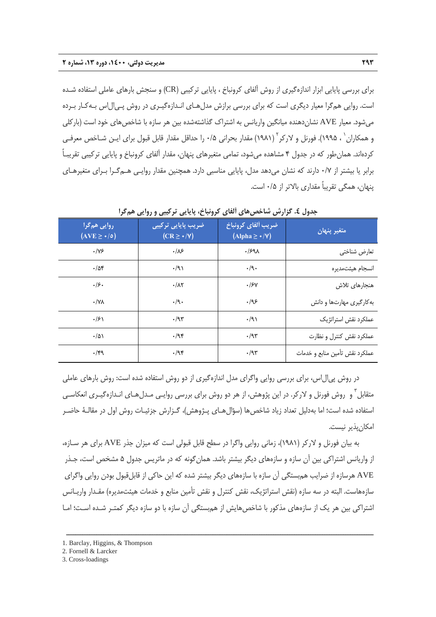براي بررسي پايايي ابزار اندازهگيري از روش آلفاي كرونباخ ، پايايي تركيبي (CR (و سنجش بارهاي عاملي استفاده شـده است. روايي همگرا معيار ديگري است كه براي بررسي برازش مدلهـاي انـدازهگيـري در روش پـيالاس بـهكـار بـرده ميشود. معيار AVE نشاندهنده ميانگين واريانس به اشتراك گذاشتهشده بين هر سازه با شاخصهاي خود است (باركلي و همكاران` ، ۱۹۹۵). فورنل و لاركر<sup>٬</sup> (۱۹۸۱) مقدار بحراني ۱⁄۵ را حداقل مقدار قابل قبول براى ايـن شــاخص معرفــى كردهاند. همانطور كه در جدول 4 مشاهده ميشود، تمامي متغيرهاي پنهان، مقدار آلفاي كرونباخ و پايايي تركيبي تقريبـاً برابر يا بيشتر از 0/7 دارند كه نشان ميدهد مدل، پايايي مناسبي دارد. همچنين مقدار روايـي هـمگـرا بـراي متغيرهـاي پنهان، همگي تقريباً مقداري بالاتر از 0/5 است.

| روایی همگرا<br>$(AVE \geq \cdot / \circ)$ | ضریب پایایی ترکیبی<br>$(CR \geq \cdot / \nu)$ | ضريب ألفاي كرونباخ<br>$(Alpha \geq \star/\nu)$ | متغير پنهان                    |
|-------------------------------------------|-----------------------------------------------|------------------------------------------------|--------------------------------|
| $\cdot$ /Y۶                               | .18                                           | .1591                                          | تعارض شناختي                   |
| .78                                       | .91                                           | $\cdot$ /9.                                    | انسجام هيئتمديره               |
| .19.                                      | $\cdot/\lambda\tau$                           | .15V                                           | هنجارهای تلاش                  |
| $\cdot$ /YA                               | $\cdot$ /9 $\cdot$                            | ۹۶.                                            | به کارگیری مهارتها و دانش      |
| $\cdot$ /۶۱                               | .79                                           | .91                                            | عملکرد نقش استراتژیک           |
| $\cdot/\Delta$                            | .798                                          | $\cdot$ /95                                    | عملكرد نقش كنترل و نظارت       |
| $\cdot$ /۴۹                               | .79                                           | $\cdot$ /95                                    | عملكرد نقش تأمين منابع و خدمات |

**جدول .4 گزارش شاخصهاي آلفاي كرونباخ، پايايي تركيبي و روايي همگرا** 

در روش پيالاس، براي بررسي روايي واگراي مدل اندازهگيري از دو روش استفاده شده است: روش بارهاي عاملي متقابل ً و روش فورنل و لاركر. در اين پژوهش، از هر دو روش براي بررسي روايـي مـدلِ هـاي انـدازهگيـري انعكاسـي استفاده شده است؛ اما بهدليل تعداد زياد شاخصها (سؤالهـاي پـژوهش)، گـزارش جزئيـات روش اول در مقالـة حاضـر امكانپذير نيست.

به بيان فورنل و لاركر (1981)، زماني روايي واگرا در سطح قابل قبولي است كه ميزان جذر AVE براي هر سـازه، از واريانس اشتراكي بين آن سازه و سازههاي ديگر بيشتر باشد. همانگونه كه در ماتريس جدول 5 مشخص است، جـذر AVE هرسازه از ضرايب همبستگي آن سازه با سازههاي ديگر بيشتر شده كه اين حاكي از قابلقبول بودن روايي واگراي سازههاست. البته در سه سازه (نقش استراتژيك، نقش كنترل و نقش تأمين منابع و خدمات هيئتمديره) مقـدار واريـانس اشتراكي بين هر يک از سازههاي مذكور با شاخص هايش از همبستگي آن سازه با دو سازه ديگر كمتـر شـده اسـت؛ امـا

ــــــــــــــــــــــــــــــــــــــــــــــــــــــــــــــــــــــــــــــــــــــــــــــــــــــــــــــــــــــــــــــــــــ

3. Cross-loadings

<sup>1.</sup> Barclay, Higgins, & Thompson

<sup>2.</sup> Fornell & Larcker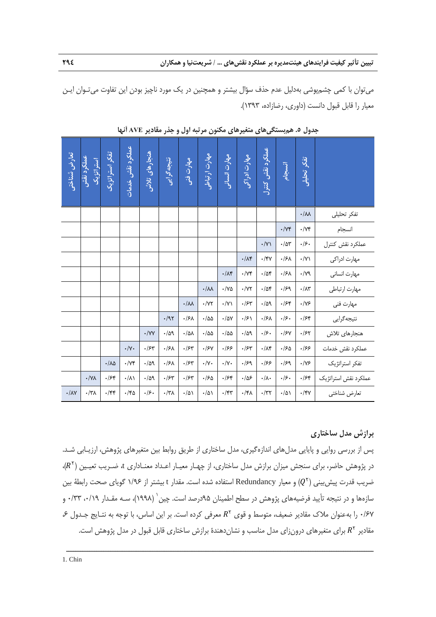ميتوان با كمي چشمپوشي بهدليل عدم حذف سؤال بيشتر و همچنين در يك مورد ناچيز بودن اين تفاوت ميتـوان ايـن معيار را قابل قبول دانست (داوري، رضازاده، 1393).

| تعارض ثسناختى           | عملكرد نقش<br>استراتژیک | تفكر استراتزيك        | عملكرد نقش خدمات  | هنجارهای تلاثن                   | نتيجه گرايى        | مهارت فنی                                     | مهارت ارتباطی          | مهارت انسانی            | مهارت ادراكى               | عملكرد نقش كنترل  | انسجام            | تفكر تحليلى                         |                      |
|-------------------------|-------------------------|-----------------------|-------------------|----------------------------------|--------------------|-----------------------------------------------|------------------------|-------------------------|----------------------------|-------------------|-------------------|-------------------------------------|----------------------|
|                         |                         |                       |                   |                                  |                    |                                               |                        |                         |                            |                   |                   | $\boldsymbol{\cdot}/\lambda\lambda$ | تفكر تحليلى          |
|                         |                         |                       |                   |                                  |                    |                                               |                        |                         |                            |                   | $\cdot/\gamma$ ۴  | $\cdot/\Upsilon f$                  | انسجام               |
|                         |                         |                       |                   |                                  |                    |                                               |                        |                         |                            | $\cdot/\Upsilon$  | $\cdot/\Delta r$  | $\cdot$ /۶ $\cdot$                  | عملكرد نقش كنترل     |
|                         |                         |                       |                   |                                  |                    |                                               |                        |                         | $\cdot/\Lambda f$          | $\cdot$ /۴٧       | $\cdot$ /۶۸       | $\cdot/\Upsilon$                    | مهارت ادراكى         |
|                         |                         |                       |                   |                                  |                    |                                               |                        | $\cdot/\Lambda f$       | $\cdot/\gamma f$           | $\cdot/\Delta f$  | $\cdot$ /۶۸       | $\cdot/\gamma$ ٩                    | مهارت انسانى         |
|                         |                         |                       |                   |                                  |                    |                                               | $\cdot/\lambda\lambda$ | $\cdot/\gamma$ $\Delta$ | $\cdot$ /<br>$\lor \gamma$ | $\cdot/\Delta f$  | .159              | $\cdot/\Lambda$ ۳                   | مهارت ارتباطي        |
|                         |                         |                       |                   |                                  |                    | $\boldsymbol{\cdot}/\boldsymbol{\mathcal{M}}$ | $\cdot/\Upsilon$       | $\cdot/\Upsilon$        | $\cdot$ / $\approx$        | .709              | .759              | $\cdot/\gamma$ ۶                    | مهارت فني            |
|                         |                         |                       |                   |                                  | $\cdot$ /95        | $\cdot$ /۶۸                                   | $\cdot/\Delta\Delta$   | $\cdot/\Delta V$        | $\cdot$ /۶\                | $\cdot$ /۶۸       | .49.              | .754                                | نتيجه گرايي          |
|                         |                         |                       |                   | $\boldsymbol{\cdot}$ /<br>Y<br>Y | .709               | $\cdot/\Delta\Lambda$                         | $\cdot/\Delta\Delta$   | $\cdot/\Delta\Delta$    | .709                       | .49.              | $\cdot$ /۶ $\vee$ | $\cdot$ /۶۲                         | هنجارهای تلاش        |
|                         |                         |                       | $\cdot/\gamma$ .  | $\cdot$ / $\mathcal{F}$ ۳        | $\cdot$ /۶۸        | $\cdot$ /۶۳                                   | $\cdot$ /۶۷            | .199                    | $\cdot$ / $\gamma$         | $\cdot/\Lambda$ ۴ | $\cdot$ /۶۵       | .199                                | عملكرد نقش خدمات     |
|                         |                         | $\cdot/\lambda\Delta$ | $\cdot/\forall f$ | .709                             | $\cdot$ /۶۸        | $\cdot$ / $\approx$                           | $\cdot/\gamma$ .       | $\cdot/\Upsilon$        | $\cdot$ /۶۹                | ۰/۶۶              | .159              | $\cdot/\gamma$ ۶                    | تفكر استراتژيك       |
|                         | $\cdot/\gamma\lambda$   | .754                  | $\cdot/\lambda$   | .709                             | $\cdot$ / $5$ ۳    | $\cdot$ / $\mathcal{F}$ ۳                     | $\cdot$ 160            | .754                    | .185                       | $\cdot/\lambda$ . | .19.              | .754                                | عملكرد نقش استراتژيك |
| $\cdot/\lambda\Upsilon$ | $\cdot/\tau$            | $\cdot$ /۴۴           | $\cdot$ /۴۵       | .49.                             | $\cdot/\tau\wedge$ | $\cdot/\Delta$                                | $\cdot/\Delta$         | $\cdot$ /۴۳             | $\cdot$ /۴۸                | $\cdot$ /٣٢       | $\cdot/\Delta$    | $\cdot$ /۴۷                         | تعارض شناختي         |

جدول ٥. هم بستگی های متغیر های مکنون مرتبه اول و جذر مقادیر AVE آنها

# **برازش مدل ساختاري**

پس از بررسي روايي و پايايي مدلهاي اندازهگيري، مدل ساختاري از طريق روابط بين متغيرهاي پژوهش، ارزيـابي شـد. در پژوهش حاضر، براي سنجش ميزان برازش مدل ساختاري، از چهـار معيـار اعـداد معنـاداري t، ضـريب تعيـين (K<sup>۲</sup>)، ضريب قدرت پيش بيني  $(Q^{\tau})$  و معيار Redundancy استفاده شده است. مقدار t بيشتر از ۱/۹۶ گوياي صحت رابطهٔ بين سازهها و در نتيجه تأييد فرضيههاى پژوهش در سطح اطمينان ۹۵درصد است. چين` (١٩٩٨)، سـه مقـدار ٠/١٩، ٠/٣٣ ۰/۶۷ را به عنوان ملاک مقادير ضعيف، متوسط و قوى  $R^{\gamma}$  معرفى كرده است. بر اين اساس، با توجه به نتـايج جـدول ع، مقادير R۲ براي متغيرهاي درونزاي مدل مناسب و نشاندهندهٔ برازش ساختاري قابل قبول در مدل پژوهش است.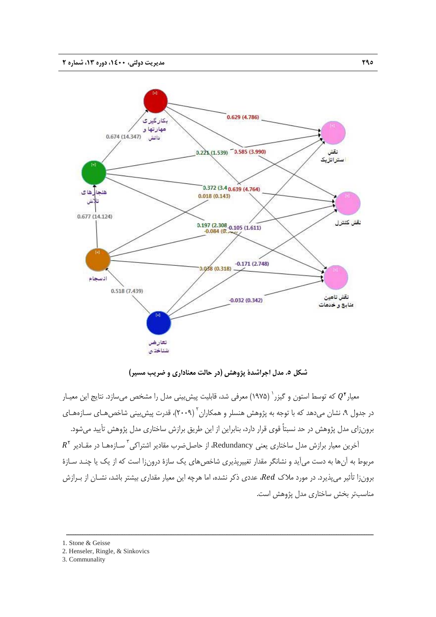

**شكل .5 مدل اجراشدة پژوهش (در حالت معناداري و ضريب مسير)** 

معيار ً $Q^\intercal$  كه توسط استون و گيزر <sup>(</sup> (١٩٧۵) معرفي شد، قابليت پيشربيني مدل را مشخص ميسازد. نتايج اين معيـار در جدول ۹، نشان میدهد که با توجه به پژوهش هنسلر و همکاران<sup>۲</sup> (۲۰۰۹)، قدرت پیش بینی شاخص *هـ*ای سـازههـای برونزاي مدل پژوهش در حد نسبتاً قوي قرار دارد، بنابراين از اين طريق برازش ساختاري مدل پژوهش تأييد ميشود.

 $R^\chi$  آخرین معیار برازش مدل ساختاری یعنی Redundancy، از حاصل $\dot{\tilde{z}}$  مقادیر اشتراکی $^{\tilde{z}}$  سـازههـا در مقـادیر مربوط به آنها به دست ميآيد و نشانگر مقدار تغييرپذيري شاخصهاي يك سازة درونزا است كه از يك يا چنـد سـازة برونزا تأثير ميپذيرد. در مورد ملاك ،Red، عددي ذكر نشده، اما هرچه اين معيار مقداري بيشتر باشد، نشــان از بـرازش مناسبتر بخش ساختاري مدل پژوهش است.

ــــــــــــــــــــــــــــــــــــــــــــــــــــــــــــــــــــــــــــــــــــــــــــــــــــــــــــــــــــــــــــــــــــ

1. Stone & Geisse

3. Communality

<sup>2.</sup> Henseler, Ringle, & Sinkovics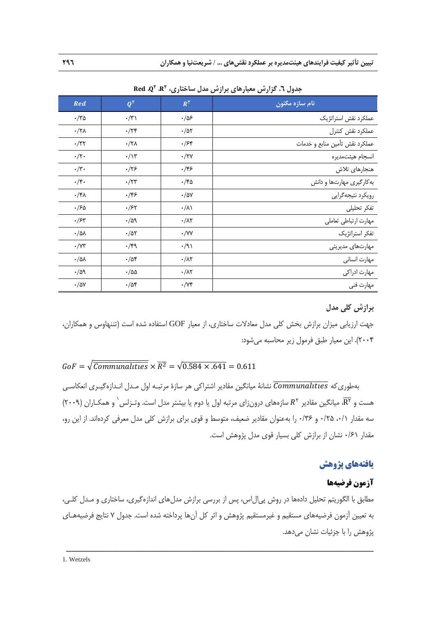**تبيين تأثير كيفيت فرايندهاي هيئتمديره بر عملكرد نقشهاي ... / شريعتنيا و همكاران 296** 

| Red                       | $Q^{\dagger}$          | $R^{\Upsilon}$         | نام سازه مکنون                 |
|---------------------------|------------------------|------------------------|--------------------------------|
| ۰/۳۵                      | $\cdot/\tau$           | $\cdot/\Delta$ ۶       | عملكرد نقش استراتژيك           |
| $\cdot$ /۲۸               | $\cdot$ /۲۴            | $\cdot/\Delta\Upsilon$ | عملكرد نقش كنترل               |
| $\cdot/\tau\tau$          | $\cdot/\tau\wedge$     | ۰/۶۴                   | عملكرد نقش تأمين منابع و خدمات |
| $\cdot/\tau$ .            | $\cdot/\Upsilon$       | $\cdot$ /۲۷            | انسجام هيئتمديره               |
| $\cdot/\mathbf{r}$ .      | $\cdot$ /۲۶            | ۰/۴۶                   | هنجارهای تلاش                  |
| $\cdot/\mathfrak{r}\cdot$ | $\cdot$ /۲۳            | ۰/۴۵                   | به کارگیری مهارتها و دانش      |
| $\cdot/\mathfrak{r}$      | ۰/۴۶                   | $\cdot/\Delta V$       | رويكرد نتيجهگرايي              |
| $\cdot$ /۶۵               | $\cdot$ /۶۲            | $\cdot/\lambda$        | تفكر تحليلى                    |
| $\cdot$ /۶۳               | $\cdot/\Delta$ 9       | $\cdot/\lambda\tau$    | مهارت ارتباطي تعاملي           |
| $\cdot/\text{d}\lambda$   | $\cdot/\Delta\Upsilon$ | $\cdot$ /YY            | تفكر استراتژيك                 |
| $\cdot/\Upsilon$          | $\cdot$ /۴۹            | $\cdot$ /9)            | مهارتهای مدیریتی               |
| $\cdot/\text{d}\lambda$   | $\cdot/\Delta f$       | $\cdot/\lambda$ ۲      | مهارت انساني                   |
| $\cdot/\Delta$ 9          | $\cdot/\Delta\Delta$   | $\cdot/\lambda$ ۲      | مهارت ادراكى                   |
| $\cdot/\Delta V$          | $\cdot/\Delta f$       | $\cdot/\forall f$      | مهارت فني                      |

**،** ܌܍܀ **2 ،** ۿ **<sup>2</sup> جدول .6 گزارش معيارهاي برازش مدل ساختاري،** ܀

## **برازش كلي مدل**

جهت ارزيابي ميزان برازش بخش كلي مدل معادلات ساختاري، از معيار GOF استفاده شده است (تننهاوس و همكاران، 2004). اين معيار طبق فرمول زير محاسبه ميشود:

# $60F = \sqrt{\overline{Communalities}} \times \overline{R^2} = \sqrt{0.584 \times 0.641} = 0.611$

نه مطوري كه  $\overline{communalities}$  نشانهٔ ميانگين مقادير اشتراكي هر سازهٔ مرتبـه اول مـدل انـدازهگيـري انعكاسـي هست و  $\overline{R^\tau}$ ، ميانگين مقادير  $R^\tau$  سازههاي درونزاي مرتبه اول يا دوم يا بيشتر مدل است. وتـزلس ٰ و همكـاران (٢٠٠٩) سه مقدار ٠/٦، ٠/٢٥ و ٠/٣۶ را بهعنوان مقادير ضعيف، متوسط و قوى براي برازش كلي مدل معرفي كردهاند. از اين رو، مقدار 0/61 نشان از برازش كلي بسيار قوي مدل پژوهش است.

# **يافتههاي پژوهش**

# **آزمون فرضيهها**

مطابق با الگوريتم تحليل دادهها در روش پيالاس، پس از بررسي برازش مدلهاي اندازهگيري، ساختاري و مـدل كلـي، به تعيين آزمون فرضيههاي مستقيم و غيرمستقيم پژوهش و اثر كل آنها پرداخته شده است. جدول 7 نتايج فرضيههـاي پژوهش را با جزئيات نشان مي دهد.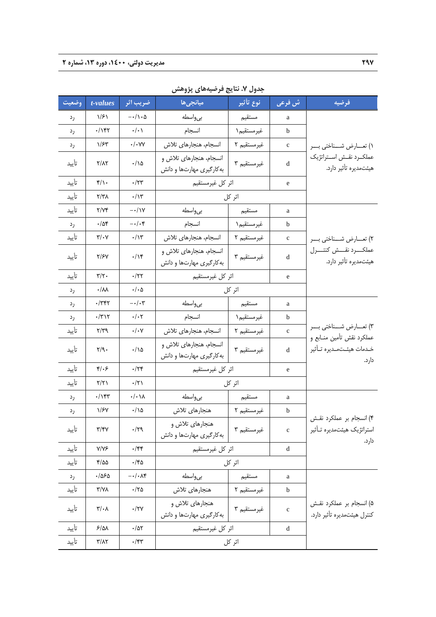| وضعيت | t-values                             | ضريب اثر                                                  | ميانجىھا                                             | َنوع تأثير  | ش فرعی       | فرضيه                                                            |
|-------|--------------------------------------|-----------------------------------------------------------|------------------------------------------------------|-------------|--------------|------------------------------------------------------------------|
| رد    | 1/51                                 | $-\cdot/\!\setminus\!\cdot\!\!\!\!\circ$                  | بىواسطه                                              | مستقيم      | a            |                                                                  |
| رد    | $\cdot$ / $\uparrow\uparrow\uparrow$ | $\boldsymbol{\cdot}/\boldsymbol{\cdot}$ )                 | انسجام                                               | غيرمستقيم ١ | b            |                                                                  |
| رد    | ۱/۶۳                                 | $\cdot/\cdot$ YY                                          | انسجام، هنجارهای تلاش                                | غيرمستقيم ٢ | $\mathbf c$  | ۱) تعــارض شـــناختي بـــر                                       |
| تأييد | $\Upsilon/\Lambda\Upsilon$           | $\cdot/\backslash\Delta$                                  | انسجام، هنجارهای تلاش و<br>به کارگیری مهارتها و دانش | غيرمستقيم ٣ | d            | عملكــرد نقــش اســتراتژيك<br>هیئتمدیره تأثیر دارد.              |
| تأييد | $f/\rightarrow$                      | $\cdot/\tau$ ۳                                            | اثر كل غيرمستقيم                                     |             | e            |                                                                  |
| تأييد | $Y/Y\Lambda$                         | $\cdot/\gamma$                                            |                                                      | اثر کل      |              |                                                                  |
| تأييد | Y/YY                                 | $-\cdot/\gamma$                                           | بىواسطه                                              | مستقيم      | a            |                                                                  |
| رد    | $\cdot/\Delta$ ۴                     | $-\cdot/\cdot$ ۴                                          | انسجام                                               | غيرمستقيم ١ | b            |                                                                  |
| تأييد | $\mathbf{y}/\mathbf{y}$              | $\cdot/\gamma$                                            | انسجام، هنجارهای تلاش                                | غيرمستقيم ٢ | c            | ٢) تعـــارض شـــناختي بـــر                                      |
| تأييد | <b>T/SV</b>                          | $\cdot/\mathcal{N}$                                       | انسجام، هنجارهای تلاش و<br>به کارگیری مهارتها و دانش | غيرمستقيم ٣ | d            | عملكـــــــرد نقـــــش كنتـــــــــرل<br>هیئتمدیره تأثیر دارد.   |
| تأييد | $\mathbf{y}/\mathbf{y}$ .            | $\cdot$ /۲۲                                               | اثر كل غيرمستقيم                                     |             | e            |                                                                  |
| رد    | $\cdot/\lambda\lambda$               | $\cdot/\cdot$ $\Delta$                                    |                                                      | اثر کل      |              |                                                                  |
| رد    | $\cdot$ /٣۴٢                         | $-\cdot/\cdot$ $\!\!$                                     | بىواسطه                                              | مستقيم      | a            |                                                                  |
| رد    | $\cdot$ /٣١٢                         | $\cdot/\cdot \tau$                                        | انسجام                                               | غيرمستقيم ١ | b            |                                                                  |
| تأييد | $\mathbf{y}/\mathbf{y}$              | $\boldsymbol{\cdot}/\boldsymbol{\cdot}$ $\mathsf{\gamma}$ | انسجام، هنجارهای تلاش                                | غيرمستقيم ٢ | $\mathbf c$  | ۳) تعـــارض شـــناختي بـــر                                      |
| تأييد | $\mathbf{y}/\mathbf{y}$ .            | $\cdot/\backslash\Delta$                                  | انسجام، هنجارهای تلاش و<br>به کارگیری مهارتها و دانش | غيرمستقيم ٣ | d            | عملكرد نقش تأمين منــابع و<br>خـدمات هيئـتمـديره تـأثير<br>دارد. |
| تأييد | $f/\cdot 5$                          | $\cdot$ /٢۴                                               | اثر كل غيرمستقيم                                     |             | e            |                                                                  |
| تأييد | $\gamma/\gamma$                      | $\cdot/\tau$                                              |                                                      | اثر کل      |              |                                                                  |
| رد    | $\cdot/\gamma\gamma$                 | $\cdot/\cdot$ \ $\lambda$                                 | بى واسطه                                             | مستقيم      | a            |                                                                  |
| رد    | 1/5V                                 | $\cdot/\backslash\Delta$                                  | هنجارهاي تلاش                                        | غيرمستقيم ٢ | $\mathbf b$  |                                                                  |
| تأييد | $\mathbf{y}/\mathbf{y}$              | $\cdot/\gamma$ ٩                                          | هنجارهاي تلاش و<br>به کارگیری مهارتها و دانش         | غيرمستقيم ٣ | $\mathbf c$  | ۴) انسجام بر عملکرد نقش<br>استراتژیک هیئتمدیره تـأثیر<br>دارد.   |
| تأييد | $Y/Y$ ۶                              | $\cdot$ /۴۴                                               | اثر كل غيرمستقيم                                     |             | d            |                                                                  |
| تأييد | ۴/۵۵                                 | ۰/۴۵                                                      |                                                      | اثر کل      |              |                                                                  |
| رد    | $\cdot$ /550                         | $-\cdot/\cdot\Lambda f$                                   | بى واسطه                                             | مستقيم      | a            |                                                                  |
| تأييد | $\gamma/\gamma\lambda$               | $\cdot$ /۲۵                                               | هنجارهای تلاش                                        | غيرمستقيم ٢ | b            |                                                                  |
| تأييد | $\mathbf{r}/\cdot \mathbf{v}$        | $\cdot$ /۲۷                                               | هنجارهای تلاش و<br>به کارگیری مهارتها و دانش         | غيرمستقيم ٣ | $\mathbf{C}$ | ۵) انسجام بر عملکرد نقش<br>كنترل هيئتمديره تأثير دارد.           |
| تأييد | $5/\Delta\lambda$                    | $\cdot/\Delta\Upsilon$                                    | اثر كل غيرمستقيم                                     |             | d            |                                                                  |
| تأييد | $\frac{1}{2}$                        | $\cdot$ /۴۳                                               |                                                      | اثر کل      |              |                                                                  |

**جدول .7 نتايج فرضيههاي پژوهش**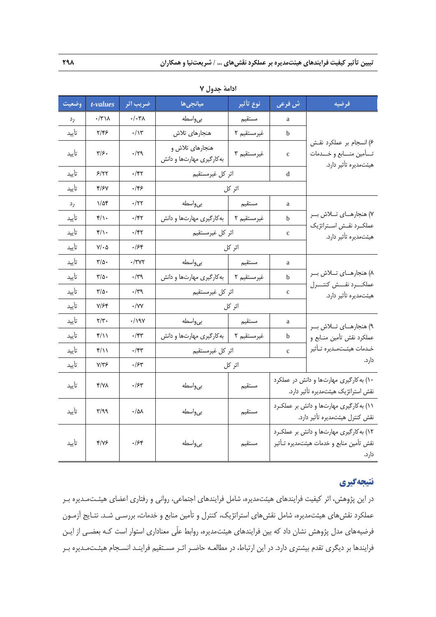| وضعيت | t-values                                        | ضريب اثر          | ميانجىھا                                     | نوع تأثير   | ش فرعي       | فرضيه                                                                                        |
|-------|-------------------------------------------------|-------------------|----------------------------------------------|-------------|--------------|----------------------------------------------------------------------------------------------|
| رد    | $\cdot/\tau\backslash\Lambda$                   | $\cdot/\cdot\tau$ | بىواسطه                                      | مستقيم      | a            |                                                                                              |
| تأييد | ۲/۴۶                                            | $\cdot/\gamma$    | هنجارهاي تلاش                                | غيرمستقيم ٢ | b            |                                                                                              |
| تأييد | ۳۱۶۰                                            | ۰/۲۹              | هنجارهای تلاش و<br>به کارگیری مهارتها و دانش | غيرمستقيم ٣ | $\mathbf{C}$ | ۶) انسجام بر عملکرد نقش<br>تــأمين منـــابع و خـــدمات<br>هیئتمدیره تأثیر دارد.              |
| تأييد | 5/77                                            | ۰/۴۲              | اثر كل غيرمستقيم                             |             | d            |                                                                                              |
| تأييد | 4/۶۷                                            | ۰/۴۶              |                                              | اثر کل      |              |                                                                                              |
| رد    | ۱/۵۴                                            | $\cdot$ /٢٢       | بىواسطه                                      | مستقيم      | a            |                                                                                              |
| تأييد | $f/\rightarrow$                                 | ۰/۴۲              | غیرمستقیم ۲   بهکارگیری مهارتها و دانش       |             | b            | ٧) هنجارهای تلاش بر                                                                          |
| تأييد | $f/\cdot$                                       | ۰/۴۲              | اثر كل غيرمستقيم                             |             | $\mathbf c$  | عملكرد نقش استراتژيك<br>هیئتمدیره تأثیر دارد.                                                |
| تأييد | $\mathsf{Y}/\boldsymbol{\cdot} \mathsf{\Delta}$ | ۶۴۰.              |                                              | اثر کل      |              |                                                                                              |
| تأييد | ۳/۵۰                                            | ۰/۳۷۲             | بىواسطه                                      | مستقيم      | a            |                                                                                              |
| تأييد | ۳/۵۰                                            | $\cdot$ /۳۹       | غیرمستقیم ۲   به کارگیری مهارتها و دانش      |             | b            | ٨) هنجارهای تلاش بر                                                                          |
| تأييد | ۳/۵۰                                            | ۰/۳۹              | اثر كل غيرمستقيم                             |             | $\mathbf{C}$ | عملكرد نقش كنتسرل<br>هیئتمدیره تأثیر دارد.                                                   |
| تأييد | ۷/۶۴                                            | $\cdot$ /YY       |                                              | اثر کل      |              |                                                                                              |
| تأييد | $\mathbf{Y}/\mathbf{Y}$ .                       | ۰/۱۹۷             | بىواسطه                                      | مستقيم      | a            | ۹) هنجارهـای تــلاش بــر                                                                     |
| تأييد | ۴/۱۱                                            | ۰/۴۳              | به کارگیری مهارتها و دانش                    | غيرمستقيم ٢ | b            | عملكرد نقش تأمين منـابع و                                                                    |
| تأييد | ۴/۱۱                                            | ۰/۴۳              | اثر كل غيرمستقيم                             |             | $\mathbf{C}$ | خـدمات هيئـتمـديره تـأثير                                                                    |
| تأييد | ۷/۳۶                                            | ۰/۶۳              |                                              | اثر کل      |              | دارد.                                                                                        |
| تأييد | ۴/۷۸                                            | ۰/۶۳              | بى واسطه                                     | مستقيم      |              | ۱۰) به کارگیری مهارتها و دانش در عملکرد<br>نقش استراتژیک هیئتمدیره تأثیر دارد.               |
| تأييد | ۳/۹۹                                            | ۰/۵۸              | بى واسطه                                     | مستقيم      |              | ١١) به كارگيري مهارتها و دانش بر عملكرد<br>نقش كنترل هيئتمديره تأثير دارد.                   |
| تأييد | ۴/۷۶                                            | ۰/۶۴              | بىواسطه                                      | مستقيم      |              | ۱۲) به کارگیری مهارتها و دانش بر عملکرد<br>نقش تأمين منابع و خدمات هيئتمديره تـأثير<br>دارد. |

**ادامة جدول 7** 

# **نتيجهگيري**

در اين پژوهش، اثر كيفيت فرايندهاي هيئتمديره، شامل فرايندهاي اجتماعي، رواني و رفتاري اعضاي هيئـتمـديره بـر عملكرد نقشهاي هيئتمديره، شامل نقشهاي استراتژيك، كنترل و تأمين منابع و خدمات، بررسـي شـد. نتـايج آزمـون فرضيههاي مدل پژوهش نشان داد كه بين فرايندهاي هيئتمديره، روابط علّي معناداري استوار است كـه بعضـي از ايـن فرايندها بر ديگري تقدم بيشتري دارد. در اين ارتباط، در مطالعـه حاضـر اثـر مسـتقيم فراينـد انسـجام هيئـتمـديره بـر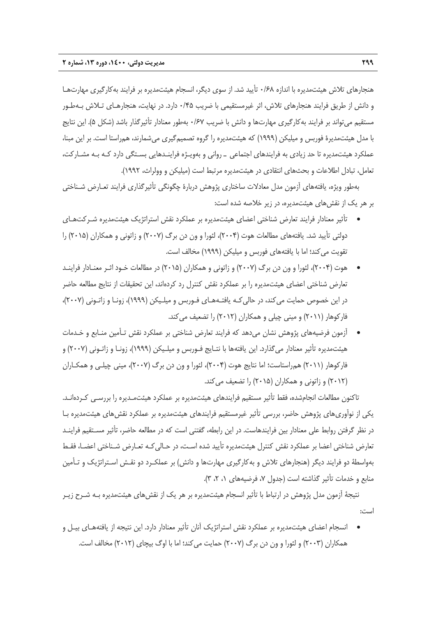هنجارهاي تلاش هيئتمديره با اندازه 0/68 تأييد شد. از سوي ديگر، انسجام هيئتمديره بر فرايند بهكارگيري مهارتهـا و دانش از طريق فرايند هنجارهاي تلاش، اثر غيرمستقيمي با ضريب 0/45 دارد. در نهايت، هنجارهـاي تـلاش بـهطـور مستقيم ميتواند بر فرايند بهكارگيري مهارتها و دانش با ضريب 0/67 بهطور معنادار تأثيرگذار باشد (شكل 5). اين نتايج با مدل هيئتمديرة فوربس و ميليكن (1999) كه هيئتمديره را گروه تصميمگيري ميشمارند، همراستا است. بر اين مبنا، عملكرد هيئتمديره تا حد زيادي به فرايندهاي اجتماعي ـ رواني و بهويـژه فراينـدهايي بسـتگي دارد كـه بـه مشـاركت، تعامل، تبادل اطلاعات و بحثهاي انتقادي در هيئتمديره مرتبط است (ميليكن و وولراث، 1992).

بهطور ويژه، يافتههاي آزمون مدل معادلات ساختاري پژوهش دربارة چگونگي تأثيرگذاري فرايند تعـارض شـناختي بر هر يك از نقشهاي هيئتمديره، در زير خلاصه شده است:

- تأثير معنادار فرايند تعارض شناختي اعضاي هيئتمديره بر عملكرد نقش استراتژيك هيئتمديره شـركتهـاي دولتي تأييد شد. يافتههاي مطالعات هوت (2004)، لئورا و ون دن برگ (2007) و زاتوني و همكاران (2015) را تقويت مي كند؛ اما با يافتههاي فوربس و ميليكن (١٩٩٩) مخالف است.
- هوت (2004)، لئورا و ون دن برگ (2007) و زاتوني و همكاران (2015) در مطالعات خـود اثـر معنـادار فراينـد تعارض شناختي اعضاي هيئتمديره را بر عملكرد نقش كنترل رد كردهاند، اين تحقيقات از نتايج مطالعه حاضر در اين خصوص حمايت ميكند، در حاليكـه يافتـههـاي فـوربس و ميلـيكن (1999)، زونـا و زاتـوني (2007)، فاركوهار (2011) و ميني چيلي و همكاران (2012) را تضعيف ميكند.
- آزمون فرضيههاي پژوهش نشان ميدهد كه فرايند تعارض شناختي بر عملكرد نقش تـأمين منـابع و خـدمات هيئتمديره تأثير معنادار ميگذارد. اين يافتهها با نتـايج فـوربس و ميلـيكن (1999)، زونـا و زاتـوني (2007) و فاركوهار (2011) همراستاست؛ اما نتايج هوت (2004)، لئورا و ون دن برگ (2007)، ميني چيلـي و همكـاران (2012) و زاتوني و همكاران (2015) را تضعيف ميكند.

تاكنون مطالعات انجامشده، فقط تأثير مستقيم فرايندهاي هيئتمديره بر عملكرد هيئتمـديره را بررسـي كـردهانـد. يكي از نوآوريهاي پژوهش حاضر، بررسي تأثير غيرمستقيم فرايندهاي هيئتمديره بر عملكرد نقشهاي هيئتمديره بـا در نظر گرفتن روابط علي معنادار بين فرايندهاست. در اين رابطه، گفتني است كه در مطالعه حاضر، تأثير مسـتقيم فراينـد تعارض شناختي اعضا بر عملكرد نقش كنترل هيئتمديره تأييد شده اسـت، در حـاليكـه تعـارض شـناختي اعضـا، فقـط بهواسطة دو فرايند ديگر (هنجارهاي تلاش و بهكارگيري مهارتها و دانش) بر عملكـرد دو نقـش اسـتراتژيك و تـأمين منابع و خدمات تأثير گذاشته است (جدول ،7 فرضيههاي ،1 ،2 3).

نتيجة آزمون مدل پژوهش در ارتباط با تأثير انسجام هيئتمديره بر هر يك از نقشهاي هيئتمديره بـه شـرح زيـر است:

 انسجام اعضاي هيئتمديره بر عملكرد نقش استراتژيك آنان تأثير معنادار دارد. اين نتيجه از يافتههـاي بيـل و همكاران (2003) و لئورا و ون دن برگ (2007) حمايت ميكند؛ اما با اوگ بيچاي (2012) مخالف است.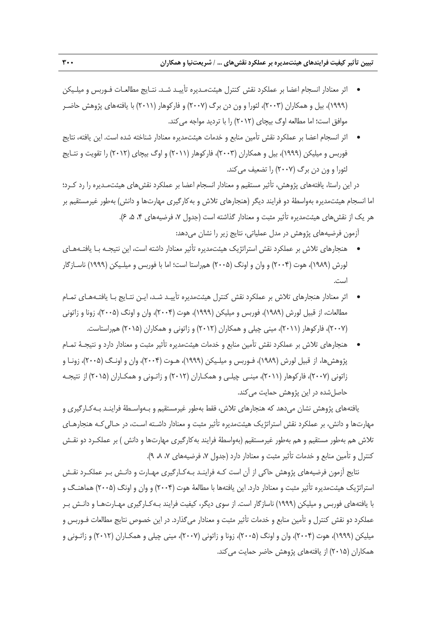- اثر معنادار انسجام اعضا بر عملكرد نقش كنترل هيئتمـديره تأييـد شـد. نتـايج مطالعـات فـوربس و ميلـيكن (1999)، بيل و همكاران (2003)، لئورا و ون دن برگ (2007) و فاركوهار (2011) با يافتههاي پژوهش حاضـر موافق است؛ اما مطالعه اوگ بيچاي (2012) را با ترديد مواجه ميكند.
- اثر انسجام اعضا بر عملكرد نقش تأمين منابع و خدمات هيئتمديره معنادار شناخته شده است. اين يافته، نتايج فوربس و ميليكن (1999)، بيل و همكاران (2003)، فاركوهار (2011) و اوگ بيچاي (2012) را تقويت و نتـايج لئورا و ون دن برگ (2007) را تضعيف ميكند.

در اين راستا، يافتههاي پژوهش، تأثير مستقيم و معنادار انسجام اعضا بر عملكرد نقشهاي هيئتمـديره را رد كـرد؛ اما انسجام هيئتمديره بهواسطة دو فرايند ديگر (هنجارهاي تلاش و بهكارگيري مهارتها و دانش) بهطور غيرمستقيم بر هر يک از نقش هاي هيئتمديره تأثير مثبت و معنادار گذاشته است (جدول ۷، فرضيههاي ۴، ۵، ۶).

آزمون فرضيههاي پژوهش در مدل عملياتي، نتايج زير را نشان ميدهد:

- هنجارهاي تلاش بر عملكرد نقش استراتژيك هيئتمديره تأثير معنادار داشته است، اين نتيجـه بـا يافتـههـاي لورش (1989)، هوت (2004) و وان و اونگ (2005) همراستا است؛ اما با فوربس و ميلـيكن (1999) ناسـازگار است.
- اثر معنادار هنجارهاي تلاش بر عملكرد نقش كنترل هيئتمديره تأييـد شـد، ايـن نتـايج بـا يافتـههـاي تمـام مطالعات، از قبيل لورش (1989)، فوربس و ميليكن (1999)، هوت (2004)، وان و اونگ (2005)، زونا و زاتوني (2007)، فاركوهار (2011)، ميني چيلي و همكاران (2012) و زاتوني و همكاران (2015) همراستاست.
- هنجارهاي تلاش بر عملكرد نقش تأمين منابع و خدمات هيئتمديره تأثير مثبت و معنادار دارد و نتيجـة تمـام پژوهشها، از قبيل لورش (1989)، فـوربس و ميلـيكن (1999)، هـوت (2004)، وان و اونـگ (2005)، زونـا و زاتوني (2007)، فاركوهار (2011)، مينـي چيلـي و همكـاران (2012) و زاتـوني و همكـاران (2015) از نتيجـه حاصل شده در اين پژوهش حمايت مي كند.

يافتههاي پژوهش نشان ميدهد كه هنجارهاي تلاش، فقط بهطور غيرمستقيم و بـهواسـطة فراينـد بـهكـارگيري و مهارتها و دانش، بر عملكرد نقش استراتژيك هيئتمديره تأثير مثبت و معنادار داشـته اسـت، در حـاليكـه هنجارهـاي تلاش هم بهطور مستقيم و هم بهطور غيرمستقيم (بهواسطة فرايند بهكارگيري مهارتها و دانش ) بر عملكـرد دو نقـش كنترل و تأمين منابع و خدمات تأثير مثبت و معنادار دارد (جدول ،7 فرضيههاي ،7 ،8 9).

نتايج آزمون فرضيههاي پژوهش حاكي از آن است كـه فراينـد بـهكـارگيري مهـارت و دانـش بـر عملكـرد نقـش استراتژيك هيئتمديره تأثير مثبت و معنادار دارد. اين يافتهها با مطالعة هوت (2004) و وان و اونگ (2005) هماهنـگ و با يافتههاي فوربس و ميليكن (1999) ناسازگار است. از سوي ديگر، كيفيت فرايند بـهكـارگيري مهـارتهـا و دانـش بـر عملكرد دو نقش كنترل و تأمين منابع و خدمات تأثير مثبت و معنادار ميگذارد. در اين خصوص نتايج مطالعات فـوربس و ميليكن (1999)، هوت (2004)، وان و اونگ (2005)، زونا و زاتوني (2007)، ميني چيلي و همكـاران (2012) و زاتـوني و همكاران (2015) از يافتههاي پژوهش حاضر حمايت ميكند.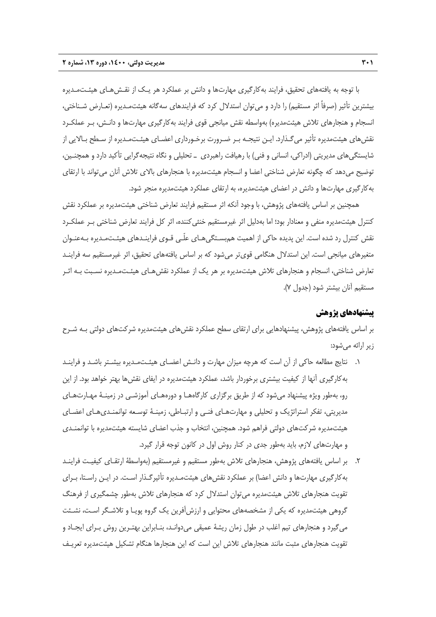با توجه به يافتههاي تحقيق، فرايند بهكارگيري مهارتها و دانش بر عملكرد هر يـك از نقـشهـاي هيئـتمـديره بيشترين تأثير (صرفاً اثر مستقيم) را دارد و ميتوان استدلال كرد كه فرايندهاي سهگانه هيئتمـديره (تعـارض شـناختي، انسجام و هنجارهاي تلاش هيئتمديره) بهواسطه نقش ميانجي قوي فرايند بهكارگيري مهارتها و دانـش، بـر عملكـرد نقشهاي هيئتمديره تأثير ميگـذارد. ايـن نتيجـه بـر ضـرورت برخـورداري اعضـاي هيئـتمـديره از سـطح بـالايي از شايستگيهاي مديريتي (ادراكي، انساني و فني) با رهيافت راهبردي ـ تحليلي و نگاه نتيجهگرايي تأكيد دارد و همچنـين، توضيح ميدهد كه چگونه تعارض شناختي اعضا و انسجام هيئتمديره با هنجارهاي بالاي تلاش آنان ميتواند با ارتقاي بهكارگيري مهارتها و دانش در اعضاي هيئتمديره، به ارتقاي عملكرد هيئتمديره منجر شود.

همچنين بر اساس يافتههاي پژوهش، با وجود آنكه اثر مستقيم فرايند تعارض شناختي هيئتمديره بر عملكرد نقش كنترل هيئتمديره منفي و معنادار بود؛ اما بهدليل اثر غيرمستقيم خنثيكننده، اثر كل فرايند تعارض شناختي بـر عملكـرد نقش كنترل رد شده است. اين پديده حاكي از اهميت همبسـتگيهـاي علّـي قـوي فراينـدهاي هيئـتمـديره بـهعنـوان متغيرهاي ميانجي است. اين استدلال هنگامي قويتر ميشود كه بر اساس يافتههاي تحقيق، اثر غيرمستقيم سه فراينـد تعارض شناختي، انسجام و هنجارهاي تلاش هيئتمديره بر هر يك از عملكرد نقشهـاي هيئـتمـديره نسـبت بـه اثـر مستقيم آنان بيشتر شود (جدول 7).

## **پيشنهادهاي پژوهش**

بر اساس يافتههاي پژوهش، پيشنهادهايي براي ارتقاي سطح عملكرد نقشهاي هيئتمديره شركتهاي دولتي بـه شـرح زير ارائه ميشود:

- .1 نتايج مطالعه حاكي از آن است كه هرچه ميزان مهارت و دانـش اعضـاي هيئـتمـديره بيشـتر باشـد و فراينـد بهكارگيري آنها از كيفيت بيشتري برخوردار باشد، عملكرد هيئتمديره در ايفاي نقشها بهتر خواهد بود. از اين رو، بهطور ويژه پيشنهاد ميشود كه از طريق برگزاري كارگاههـا و دورههـاي آموزشـي در زمينـة مهـارتهـاي مديريتي، تفكر استراتژيك و تحليلي و مهارتهـاي فنـي و ارتبـاطي، زمينـة توسـعه توانمنـديهـاي اعضـاي هيئتمديره شركتهاي دولتي فراهم شود. همچنين، انتخاب و جذب اعضاي شايسته هيئتمديره با توانمنـدي و مهارتهاي لازم، بايد بهطور جدي در كنار روش اول در كانون توجه قرار گيرد.
- .2 بر اساس يافتههاي پژوهش، هنجارهاي تلاش بهطور مستقيم و غيرمستقيم (بهواسطة ارتقـاي كيفيـت فراينـد بهكارگيري مهارتها و دانش اعضا) بر عملكرد نقشهاي هيئتمـديره تأثيرگـذار اسـت. در ايـن راسـتا، بـراي تقويت هنجارهاي تلاش هيئتمديره ميتوان استدلال كرد كه هنجارهاي تلاش بهطور چشمگيري از فرهنگ گروهي هيئتمديره كه يكي از مشخصههاي محتوايي و ارزشآفرين يك گروه پويـا و تلاشـگر اسـت، نشـئت ميگيرد و هنجارهاي تيم اغلب در طول زمان ريشة عميقي ميدوانـد، بنـابراين بهتـرين روش بـراي ايجـاد و تقويت هنجارهاي مثبت مانند هنجارهاي تلاش اين است كه اين هنجارها هنگام تشكيل هيئتمديره تعريـف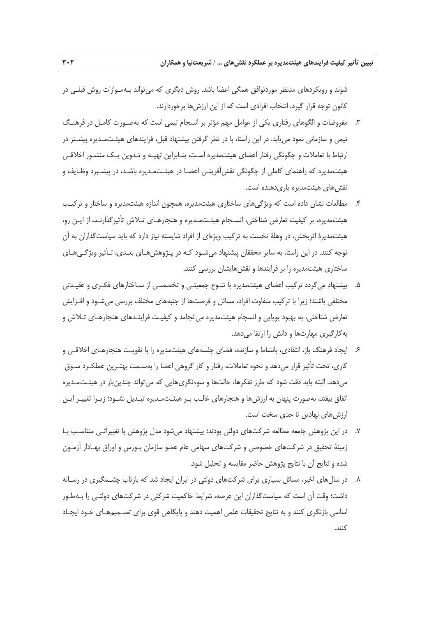شوند و رويكردهاي مدنظر موردتوافق همگي اعضا باشد. روش ديگري كه ميتواند بـهمـوازات روش قبلـي در كانون توجه قرار گيرد، انتخاب افرادي است كه از اين ارزشها برخوردارند.

- .3 مفروضات و الگوهاي رفتاري يكي از عوامل مهم مؤثر بر انسجام تيمي است كه بهصـورت كامـل در فرهنـگ تيمي و سازماني نمود مييابد. در اين راستا، با در نظر گرفتن پيشنهاد قبل، فرايندهاي هيئـتمـديره بيشـتر در ارتباط با تعاملات و چگونگي رفتار اعضاي هيئتمديره اسـت، بنـابراين تهيـه و تـدوين يـك منشـور اخلاقـي هيئتمديره كه راهنماي كاملي از چگونگي نقشآفرينـي اعضـا در هيئـتمـديره باشـد، در پيشـبرد وظـايف و نقش هاي هيئتمديره ياريدهنده است.
- .4 مطالعات نشان داده است كه ويژگيهاي ساختاري هيئتمديره، همچون اندازه هيئتمديره و ساختار و تركيـب هيئتمديره، بر كيفيت تعارض شناختي، انسـجام هيئـتمـديره و هنجارهـاي تـلاش تأثيرگذارنـد، از ايـن رو، هيئتمديرة اثربخش، در وهلة نخست به تركيب ويژهاي از افراد شايسته نياز دارد كه بايد سياستگذاران به آن توجه كنند. در اين راستا، به ساير محققان پيشنهاد ميشـود كـه در پـژوهشهـاي بعـدي، تـأثير ويژگـيهـاي ساختاري هيئتمديره را بر فرايندها و نقشهايشان بررسي كنند.
- .5 پيشنهاد ميگردد تركيب اعضاي هيئتمديره با تنـوع جمعيتـي و تخصصـي از سـاختارهاي فكـري و عقيـدتي مختلفي باشند؛ زيرا با تركيب متفاوت افراد، مسائل و فرصتها از جنبههاي مختلف بررسي ميشـود و افـزايش تعارض شناختي، به بهبود پويايي و انسجام هيئتمديره ميانجامد و كيفيـت فراينـدهاي هنجارهـاي تـلاش و بهكارگيري مهارتها و دانش را ارتقا ميدهد.
- .6 ايجاد فرهنگ باز، انتقادي، بانشاط و سازنده، فضاي جلسههاي هيئتمديره را با تقويـت هنجارهـاي اخلاقـي و كاري، تحت تأثير قرار مي دهد و نحوه تعاملات، رفتار و كار گروهي اعضا را بهسـمت بهتـرين عملكـرد سـوق ميدهد. البته بايد دقت شود كه طرز تفكرها، حالتها و سوءنگريهايي كه ميتواند چندينبار در هيئـتمـديره اتفاق بيفتد، بهصورت پنهان به ارزشها و هنجارهاي غالـب بـر هيئـتمـديره تبـديل نشـود؛ زيـرا تغييـر ايـن ارزشهاي نهادين تا حدي سخت است.
- .7 در اين پژوهش جامعه مطالعه شركتهاي دولتي بودند؛ پيشنهاد ميشود مدل پژوهش با تغييراتـي متناسـب بـا زمينة تحقيق در شركتهاي خصوصي و شركتهاي سهامي عام عضو سازمان بـورس و اوراق بهـادار آزمـون شده و نتايج آن با نتايج پژوهش حاضر مقايسه و تحليل شود.
- .8 در سالهاي اخير، مسائل بسياري براي شركتهاي دولتي در ايران ايجاد شد كه بازتاب چشـمگيري در رسـانه داشت؛ وقت آن است كه سياستگذاران اين عرصه، شرايط حاكميت شركتي در شركتهاي دولتـي را بـهطـور اساسي بازنگري كنند و به نتايج تحقيقات علمي اهميت دهند و پايگاهي قوي براي تصـميمهـاي خـود ايجـاد كنند.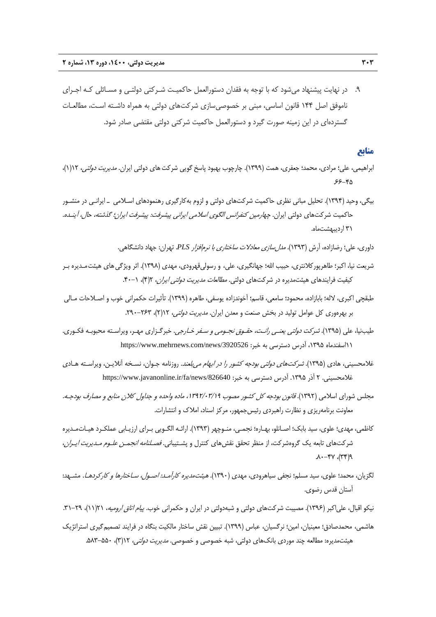.9 در نهايت پيشنهاد ميشود كه با توجه به فقدان دستورالعمل حاكميـت شـركتي دولتـي و مسـائلي كـه اجـراي ناموفق اصل 144 قانون اساسي، مبني بر خصوصيسازي شركتهاي دولتي به همراه داشـته اسـت، مطالعـات گستردهاي در اين زمينه صورت گيرد و دستورالعمل حاكميت شركتي دولتي مقتضي صادر شود.

## **منابع**

- ابراهيمي، علي؛ مرادي، محمد؛ جعفري، همت (١٣٩٩). چارچوب بهبود پاسخ گويي شركت هاي دولتي ايران. *مديريت دولتي*، ١/١٢)، .66-45
- بيگي، وحيد (1394). تحليل مباني نظري حاكميت شركتهاي دولتي و لزوم بهكارگيري رهنمودهاي اسـلامي ـ ايرانـي در منشـور حاكميت شركتهاي دولتي ايران. چهارمين كنفرانس الگوي اسلامي ايراني پيشرفت: پيشرفت ايران؛ گذشته، حال، آينـده. 31 ارديبهشتماه.
	- داوري، علي؛ رضازاده، آرش (1393). مدلسازي معادلات ساختاري با نرمافزار *PLS*. تهران: جهاد دانشگاهي.
- شريعت نيا، اكبر؛ طاهرپوركلانتري، حبيب االله؛ جهانگيري، علي، و رسوليقهرودي، مهدي (1398). اثر ويژگيهاي هيئتمـديره بـر كيفيت فرايندهاي هيئتمديره در شركتهاي دولتي. *مطالعات مديريت دولتي ايران،* ٢(۴)، ٠١-۴٠.
- طبقچي اكبري، لاله؛ بابازاده، محمود؛ سامعي، قاسم؛ آخوندزاده يوسفي، طاهره (1399). تأثيرات حكمراني خوب و اصـلاحات مـالي بر بهرهوري كل عوامل توليد در بخش صنعت و معدن ايران. *مديريت دولتي،* ١٢(٢)، ٢۶٣-٢٩٠.
- طيبنيا، علي (١٣٩۵). *شركت دولتي يعنـي رانـت، حقـوق نجـومي و سـفر خـارجي*. خبرگـزاري مهـر، ويراسـته محبوبـه فكـوري. 11اسفندماه ،1395 آدرس دسترسي به خبر: /3920526news/com.mehrnews.www://https
- غلامحسيني، هادي (1395). شركتهاي دولتي بودجه كشور را در ابهام ميبلعند. روزنامه جـوان، نسـخه آنلايـن، ويراسـته هـادي غلامحسيني. ٢ آذر ١٣٩۵. آدرس دسترسي به خبر: https://www.javanonline.ir/fa/news/826640
- مجلس شوراي اسلامي (1392). قانون بودجه كل كشور مصوب ،1392/03/19 ماده واحده <sup>و</sup> جداول كلان منابع <sup>و</sup> مصارف بودجـه. معاونت برنامهريزي و نظارت راهبردي رئيسجمهور، مركز اسناد، املاك و انتشارات.
- كاظمي، مهدي؛ علوي، سيد بابك؛ اصـانلو، بهـاره؛ نجمـي، منـوچهر (1393). ارائـه الگـويي بـراي ارزيـابي عملكـرد هيـاتمـديره شركتهاي تابعه يك گروهشركت، از منظر تحقق نقشهاي كنترل و پشـتيباني. *فصـلنامه انجمـن علـوم مـديريت ايـران*،  $P(\gamma\gamma)$ ,  $\gamma\gamma-\lambda$ .
- لگزيان، محمد؛ علوي، سيد مسلم؛ نجفي سياهرودي، مهدي (1390). هيئتمديره كارآمـد: اصـول، سـاختارها <sup>و</sup> كاركردهـا. مشـهد: آستان قدس رضوي.

نيكو اقبال، علي|كبر (١٣٩۶). مصيبت شركتهاي دولتي و شبهدولتي در ايران و حكمراني خوب. *پيام اتاق اروميه*، ٢١(١١)، ٢٩-٣١. هاشمي، محمدصادق؛ معينيان، امين؛ نرگسيان، عباس (1399). تبيين نقش ساختار مالكيت بنگاه در فرايند تصميمگيري استراتژيك هيئتمديره: مطالعه چند موردي بانکهاي دولتي، شبه خصوصي و خصوصي. *مديريت دولتي،* ۲۱(۳)، ۵۵۰–۵۸۳.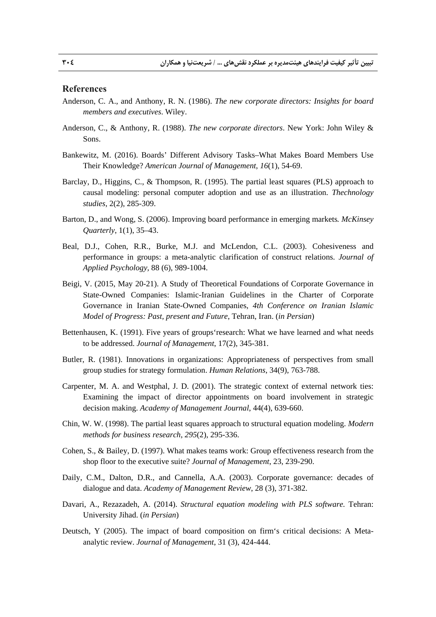### **References**

- Anderson, C. A., and Anthony, R. N. (1986). *The new corporate directors: Insights for board members and executives*. Wiley.
- Anderson, C., & Anthony, R. (1988). *The new corporate directors*. New York: John Wiley & Sons.
- Bankewitz, M. (2016). Boards' Different Advisory Tasks–What Makes Board Members Use Their Knowledge? *American Journal of Management*, *16*(1), 54-69.
- Barclay, D., Higgins, C., & Thompson, R. (1995). The partial least squares (PLS) approach to causal modeling: personal computer adoption and use as an illustration. *Thechnology studies*, 2(2), 285-309.
- Barton, D., and Wong, S. (2006). Improving board performance in emerging markets*. McKinsey Quarterly*, 1(1), 35–43.
- Beal, D.J., Cohen, R.R., Burke, M.J. and McLendon, C.L. (2003). Cohesiveness and performance in groups: a meta-analytic clarification of construct relations. *Journal of Applied Psychology,* 88 (6), 989-1004.
- Beigi, V. (2015, May 20-21). A Study of Theoretical Foundations of Corporate Governance in State-Owned Companies: Islamic-Iranian Guidelines in the Charter of Corporate Governance in Iranian State-Owned Companies, *4th Conference on Iranian Islamic Model of Progress: Past, present and Future*, Tehran, Iran. (*in Persian*)
- Bettenhausen, K. (1991). Five years of groups'research: What we have learned and what needs to be addressed. *Journal of Management*, 17(2), 345-381.
- Butler, R. (1981). Innovations in organizations: Appropriateness of perspectives from small group studies for strategy formulation. *Human Relations*, 34(9), 763-788.
- Carpenter, M. A. and Westphal, J. D. (2001). The strategic context of external network ties: Examining the impact of director appointments on board involvement in strategic decision making. *Academy of Management Journal*, 44(4), 639-660.
- Chin, W. W. (1998). The partial least squares approach to structural equation modeling. *Modern methods for business research*, *295*(2), 295-336.
- Cohen, S., & Bailey, D. (1997). What makes teams work: Group effectiveness research from the shop floor to the executive suite? *Journal of Management*, 23, 239-290.
- Daily, C.M., Dalton, D.R., and Cannella, A.A. (2003). Corporate governance: decades of dialogue and data. *Academy of Management Review*, 28 (3), 371-382.
- Davari, A., Rezazadeh, A. (2014). *Structural equation modeling with PLS software.* Tehran: University Jihad. (*in Persian*)
- Deutsch, Y (2005). The impact of board composition on firm's critical decisions: A Metaanalytic review. *Journal of Management*, 31 (3), 424-444.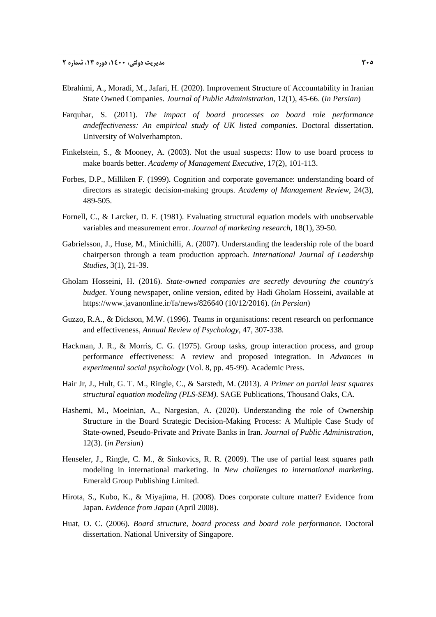- Ebrahimi, A., Moradi, M., Jafari, H. (2020). Improvement Structure of Accountability in Iranian State Owned Companies. *Journal of Public Administration*, 12(1), 45-66. (*in Persian*)
- Farquhar, S. (2011). *The impact of board processes on board role performance andeffectiveness: An empirical study of UK listed companies*. Doctoral dissertation. University of Wolverhampton.
- Finkelstein, S., & Mooney, A. (2003). Not the usual suspects: How to use board process to make boards better. *Academy of Management Executive*, 17(2), 101-113.
- Forbes, D.P., Milliken F. (1999). Cognition and corporate governance: understanding board of directors as strategic decision-making groups. *Academy of Management Review*, 24(3), 489-505.
- Fornell, C., & Larcker, D. F. (1981). Evaluating structural equation models with unobservable variables and measurement error. *Journal of marketing research*, 18(1), 39-50.
- Gabrielsson, J., Huse, M., Minichilli, A. (2007). Understanding the leadership role of the board chairperson through a team production approach. *International Journal of Leadership Studies,* 3(1), 21-39.
- Gholam Hosseini, H. (2016). *State-owned companies are secretly devouring the country's budget*. Young newspaper, online version, edited by Hadi Gholam Hosseini, available at https://www.javanonline.ir/fa/news/826640 (10/12/2016). (*in Persian*)
- Guzzo, R.A., & Dickson, M.W. (1996). Teams in organisations: recent research on performance and effectiveness, *Annual Review of Psychology*, 47, 307-338.
- Hackman, J. R., & Morris, C. G. (1975). Group tasks, group interaction process, and group performance effectiveness: A review and proposed integration. In *Advances in experimental social psychology* (Vol. 8, pp. 45-99). Academic Press.
- Hair Jr, J., Hult, G. T. M., Ringle, C., & Sarstedt, M. (2013). *A Primer on partial least squares structural equation modeling (PLS-SEM)*. SAGE Publications, Thousand Oaks, CA.
- Hashemi, M., Moeinian, A., Nargesian, A. (2020). Understanding the role of Ownership Structure in the Board Strategic Decision-Making Process: A Multiple Case Study of State-owned, Pseudo-Private and Private Banks in Iran. *Journal of Public Administration*, 12(3). (*in Persian*)
- Henseler, J., Ringle, C. M., & Sinkovics, R. R. (2009). The use of partial least squares path modeling in international marketing. In *New challenges to international marketing*. Emerald Group Publishing Limited.
- Hirota, S., Kubo, K., & Miyajima, H. (2008). Does corporate culture matter? Evidence from Japan. *Evidence from Japan* (April 2008).
- Huat, O. C. (2006). *Board structure, board process and board role performance*. Doctoral dissertation. National University of Singapore.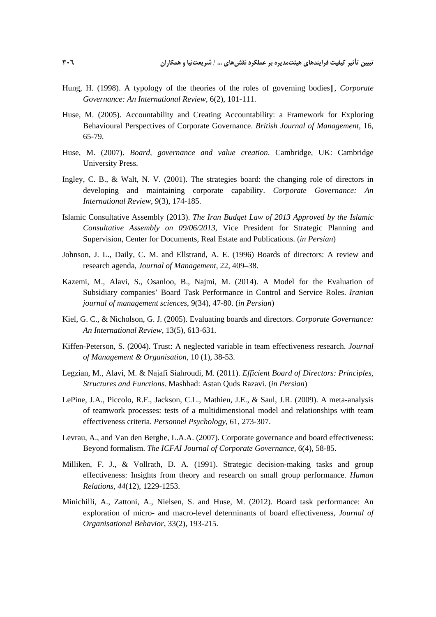- Hung, H. (1998). A typology of the theories of the roles of governing bodies‖, *Corporate Governance: An International Review*, 6(2), 101-111.
- Huse, M. (2005). Accountability and Creating Accountability: a Framework for Exploring Behavioural Perspectives of Corporate Governance. *British Journal of Management*, 16, 65-79.
- Huse, M. (2007). *Board, governance and value creation*. Cambridge, UK: Cambridge University Press.
- Ingley, C. B., & Walt, N. V. (2001). The strategies board: the changing role of directors in developing and maintaining corporate capability. *Corporate Governance: An International Review*, 9(3), 174-185.
- Islamic Consultative Assembly (2013). *The Iran Budget Law of 2013 Approved by the Islamic Consultative Assembly on 09/06/2013,* Vice President for Strategic Planning and Supervision, Center for Documents, Real Estate and Publications. (*in Persian*)
- Johnson, J. L., Daily, C. M. and Ellstrand, A. E. (1996) Boards of directors: A review and research agenda, *Journal of Management*, 22, 409–38.
- Kazemi, M., Alavi, S., Osanloo, B., Najmi, M. (2014). A Model for the Evaluation of Subsidiary companies' Board Task Performance in Control and Service Roles. *Iranian journal of management sciences*, 9(34), 47-80. (*in Persian*)
- Kiel, G. C., & Nicholson, G. J. (2005). Evaluating boards and directors. *Corporate Governance: An International Review*, 13(5), 613-631.
- Kiffen-Peterson, S. (2004). Trust: A neglected variable in team effectiveness research. *Journal of Management & Organisation*, 10 (1), 38-53.
- Legzian, M., Alavi, M. & Najafi Siahroudi, M. (2011). *Efficient Board of Directors: Principles, Structures and Functions*. Mashhad: Astan Quds Razavi. (*in Persian*)
- LePine, J.A., Piccolo, R.F., Jackson, C.L., Mathieu, J.E., & Saul, J.R. (2009). A meta-analysis of teamwork processes: tests of a multidimensional model and relationships with team effectiveness criteria. *Personnel Psychology*, 61, 273-307.
- Levrau, A., and Van den Berghe, L.A.A. (2007). Corporate governance and board effectiveness: Beyond formalism. *The ICFAI Journal of Corporate Governance*, 6(4), 58-85.
- Milliken, F. J., & Vollrath, D. A. (1991). Strategic decision-making tasks and group effectiveness: Insights from theory and research on small group performance. *Human Relations*, *44*(12), 1229-1253.
- Minichilli, A., Zattoni, A., Nielsen, S. and Huse, M. (2012). Board task performance: An exploration of micro- and macro-level determinants of board effectiveness, *Journal of Organisational Behavior*, 33(2), 193-215.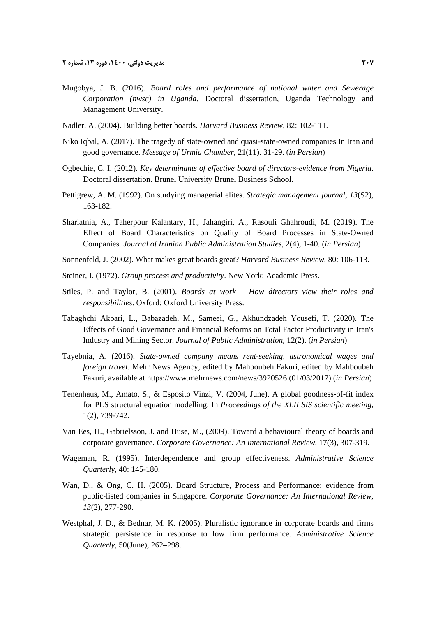- Mugobya, J. B. (2016). *Board roles and performance of national water and Sewerage Corporation (nwsc) in Uganda.* Doctoral dissertation, Uganda Technology and Management University.
- Nadler, A. (2004). Building better boards. *Harvard Business Review*, 82: 102-111.
- Niko Iqbal, A. (2017). The tragedy of state-owned and quasi-state-owned companies In Iran and good governance. *Message of Urmia Chamber*, 21(11). 31-29. (*in Persian*)
- Ogbechie, C. I. (2012). *Key determinants of effective board of directors-evidence from Nigeria*. Doctoral dissertation. Brunel University Brunel Business School.
- Pettigrew, A. M. (1992). On studying managerial elites. *Strategic management journal*, *13*(S2), 163-182.
- Shariatnia, A., Taherpour Kalantary, H., Jahangiri, A., Rasouli Ghahroudi, M. (2019). The Effect of Board Characteristics on Quality of Board Processes in State-Owned Companies. *Journal of Iranian Public Administration Studies*, 2(4), 1-40. (*in Persian*)
- Sonnenfeld, J. (2002). What makes great boards great? *Harvard Business Review*, 80: 106-113.
- Steiner, I. (1972). *Group process and productivity*. New York: Academic Press.
- Stiles, P. and Taylor, B. (2001). *Boards at work How directors view their roles and responsibilities*. Oxford: Oxford University Press.
- Tabaghchi Akbari, L., Babazadeh, M., Sameei, G., Akhundzadeh Yousefi, T. (2020). The Effects of Good Governance and Financial Reforms on Total Factor Productivity in Iran's Industry and Mining Sector. *Journal of Public Administration*, 12(2). (*in Persian*)
- Tayebnia, A. (2016). *State-owned company means rent-seeking, astronomical wages and foreign travel*. Mehr News Agency, edited by Mahboubeh Fakuri, edited by Mahboubeh Fakuri, available at https://www.mehrnews.com/news/3920526 (01/03/2017) (*in Persian*)
- Tenenhaus, M., Amato, S., & Esposito Vinzi, V. (2004, June). A global goodness-of-fit index for PLS structural equation modelling. In *Proceedings of the XLII SIS scientific meeting*, 1(2), 739-742.
- Van Ees, H., Gabrielsson, J. and Huse, M., (2009). Toward a behavioural theory of boards and corporate governance. *Corporate Governance: An International Review*, 17(3), 307-319.
- Wageman, R. (1995). Interdependence and group effectiveness. *Administrative Science Quarterly*, 40: 145-180.
- Wan, D., & Ong, C. H. (2005). Board Structure, Process and Performance: evidence from public‐listed companies in Singapore. *Corporate Governance: An International Review*, *13*(2), 277-290.
- Westphal, J. D., & Bednar, M. K. (2005). Pluralistic ignorance in corporate boards and firms strategic persistence in response to low firm performance*. Administrative Science Quarterly*, 50(June), 262–298.